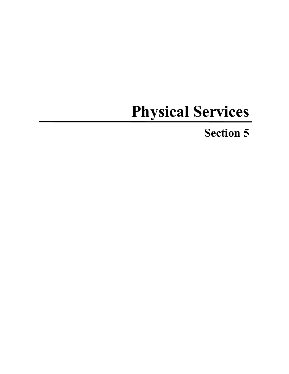# **Physical Services**

# **Section 5**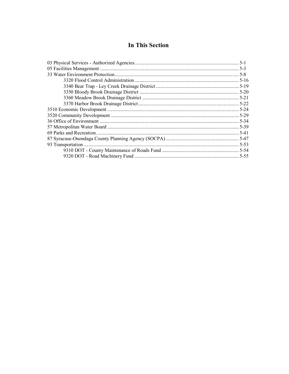## **In This Section**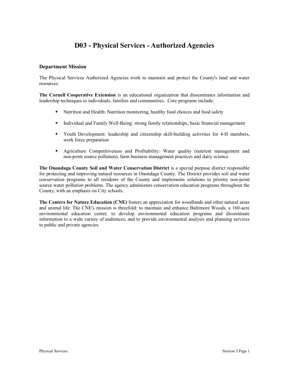# **D03 - Physical Services - Authorized Agencies**

#### **Department Mission**

The Physical Services Authorized Agencies work to maintain and protect the County's land and water resources.

**The Cornell Cooperative Extension** is an educational organization that disseminates information and leadership techniques to individuals, families and communities. Core programs include:

- Nutrition and Health: Nutrition monitoring, healthy food choices and food safety
- Individual and Family Well-Being: strong family relationships, basic financial management
- Youth Development: leadership and citizenship skill-building activities for 4-H members, work force preparation
- § Agriculture Competitiveness and Profitability: Water quality (nutrient management and non-point source pollution), farm business management practices and dairy science

**The Onondaga County Soil and Water Conservation District** is a special purpose district responsible for protecting and improving natural resources in Onondaga County. The District provides soil and water conservation programs to all residents of the County and implements solutions to priority non-point source water pollution problems. The agency administers conservation education programs throughout the County, with an emphasis on City schools.

**The Centers for Nature Education (CNE)** fosters an appreciation for woodlands and other natural areas and animal life. The CNE's mission is threefold: to maintain and enhance Baltimore Woods, a 160-acre environmental education center; to develop environmental education programs and disseminate information to a wide variety of audiences; and to provide environmental analysis and planning services to public and private agencies.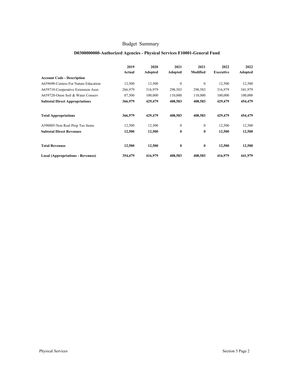## **D0300000000-Authorized Agencies - Physical Services F10001-General Fund**

|                                          | 2019<br>Actual | 2020<br>Adopted | 2021<br>Adopted | 2021<br>Modified | 2022<br><b>Executive</b> | 2022<br><b>Adopted</b> |
|------------------------------------------|----------------|-----------------|-----------------|------------------|--------------------------|------------------------|
| <b>Account Code - Description</b>        |                |                 |                 |                  |                          |                        |
| A659690-Centers For Nature Education     | 12,500         | 12,500          | $\theta$        | $\mathbf{0}$     | 12,500                   | 12,500                 |
| A659710-Cooperative Extension Assn       | 266,979        | 316,979         | 298,583         | 298,583          | 316,979                  | 341,979                |
| A659720-Onon Soil & Water Conserv        | 87,500         | 100,000         | 110,000         | 110,000          | 100,000                  | 100,000                |
| <b>Subtotal Direct Appropriations</b>    | 366,979        | 429,479         | 408,583         | 408,583          | 429,479                  | 454,479                |
| <b>Total Appropriations</b>              | 366,979        | 429,479         | 408,583         | 408,583          | 429,479                  | 454,479                |
| A590005-Non Real Prop Tax Items          | 12,500         | 12,500          | $\Omega$        | $\mathbf{0}$     | 12,500                   | 12,500                 |
| <b>Subtotal Direct Revenues</b>          | 12,500         | 12,500          | $\bf{0}$        | $\bf{0}$         | 12,500                   | 12,500                 |
| <b>Total Revenues</b>                    | 12,500         | 12,500          | $\bf{0}$        | $\bf{0}$         | 12,500                   | 12,500                 |
| <b>Local (Appropriations - Revenues)</b> | 354,479        | 416,979         | 408,583         | 408,583          | 416,979                  | 441,979                |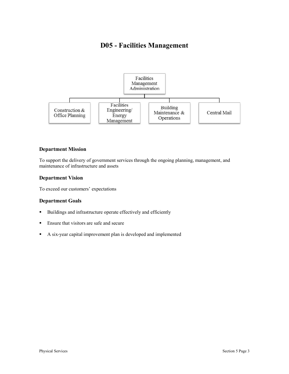# **D05 - Facilities Management**



#### **Department Mission**

To support the delivery of government services through the ongoing planning, management, and maintenance of infrastructure and assets

#### **Department Vision**

To exceed our customers' expectations

## **Department Goals**

- § Buildings and infrastructure operate effectively and efficiently
- Ensure that visitors are safe and secure
- § A six-year capital improvement plan is developed and implemented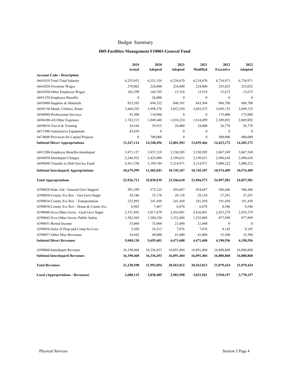#### **D05-Facilities Management F10001-General Fund**

|                                             | 2019             | 2020             | 2021             | 2021             | 2022             | 2022           |
|---------------------------------------------|------------------|------------------|------------------|------------------|------------------|----------------|
|                                             | Actual           | Adopted          | Adopted          | Modified         | <b>Executive</b> | <b>Adopted</b> |
| <b>Account Code - Description</b>           |                  |                  |                  |                  |                  |                |
| A641010 Total-Total Salaries                | 6,255,053        | 6,351,334        | 6,234,670        | 6,234,670        | 6,734,971        | 6,734,971      |
| A641020-Overtime Wages                      | 270,062          | 224,000          | 224,000          | 224,000          | 255,023          | 255,023        |
| A641030-Other Employee Wages                | 102,399          | 164,705          | 15,518           | 15,518           | 15,673           | 15,673         |
| A691250-Employee Benefits                   | $\boldsymbol{0}$ | 26,000           | $\mathbf{0}$     | $\boldsymbol{0}$ | $\mathbf{0}$     | $\mathbf{0}$   |
| A693000-Supplies & Materials                | 853,585          | 894,532          | 840,541          | 843,304          | 906,700          | 906,700        |
| A694130-Maint, Utilities, Rents             | 3,860,293        | 3,998,570        | 3,652,550        | 3,683,475        | 3,699,135        | 3,699,135      |
| A694080-Professional Services               | 95,500           | 110,000          | $\boldsymbol{0}$ | $\boldsymbol{0}$ | 175,000          | 175,000        |
| A694100-All Other Expenses                  | 1,742,215        | 1,849,440        | 1,810,224        | 1,814,499        | 2,109,892        | 2,069,892      |
| A694010-Travel & Training                   | 24,168           | 29,915           | 24,000           | 24,000           | 26,778           | 26,778         |
| A671500-Automotive Equipment                | 43,839           | $\boldsymbol{0}$ | $\mathbf{0}$     | $\boldsymbol{0}$ | $\boldsymbol{0}$ | $\mathbf{0}$   |
| A674600-Provision for Capital Projects      | $\mathbf{0}$     | 700,000          | $\boldsymbol{0}$ | $\mathbf{0}$     | 500,000          | 400,000        |
| <b>Subtotal Direct Appropriations</b>       | 13,247,114       | 14,348,496       | 12,801,503       | 12,839,466       | 14,423,172       | 14,283,172     |
| A691200-Employee Benefits-Interdepart       | 3,871,137        | 3,857,219        | 3,330,505        | 3,330,505        | 3,067,549        | 3,067,549      |
| A694950-Interdepart Charges                 | 2,246,932        | 2,425,080        | 2,199,631        | 2,199,631        | 2,498,638        | 2,498,638      |
| A699690-Transfer to Debt Service Fund       | 4,561,530        | 5,199,744        | 5,214,971        | 5,214,971        | 5,008,222        | 5,008,222      |
| <b>Subtotal Interdepartl Appropriations</b> | 10,679,599       | 11,482,043       | 10,745,107       | 10,745,107       | 10,574,409       | 10,574,409     |
| <b>Total Appropriations</b>                 | 23,926,713       | 25,830,539       | 23,546,610       | 23,584,573       | 24,997,581       | 24,857,581     |
| A590020-State Aid - General Govt Support    | 591,299          | 575,125          | 454,687          | 454,687          | 586,446          | 586,446        |
| A590030-County Svc Rev - Gen Govt Suppt     | 29,186           | 35,178           | 29,138           | 29,138           | 37,291           | 37,291         |
| A590034-County Svc Rev - Transportation     | 232,895          | 341,450          | 241,450          | 241,450          | 191,450          | 191,450        |
| A590038-County Svc Rev - Home & Comm Svc    | 6,965            | 7,467            | 6,878            | 6,878            | 8,546            | 8,546          |
| A590040-Svcs Other Govts - Genl Govt Suppt  | 2,531,892        | 3,017,879        | 2,416,091        | 2,416,091        | 2,455,279        | 2,455,279      |
| A590042-Svcs Other Govts- Public Safety     | 1,582,943        | 1,580,230        | 1,252,888        | 1,252,888        | 877,899          | 877,899        |
| A590051-Rental Income                       | 33,060           | 33,060           | 21,600           | 21,600           | $\boldsymbol{0}$ | $\mathbf{0}$   |
| A590056-Sales of Prop and Comp for Loss     | 5,450            | 16,212           | 7,876            | 7,876            | 8,145            | 8,145          |
| A590057-Other Misc Revenues                 | 34,442           | 49,000           | 41,000           | 41,000           | 33,500           | 33,500         |
| <b>Subtotal Direct Revenues</b>             | 5,048,130        | 5,655,601        | 4,471,608        | 4,471,608        | 4,198,556        | 4,198,556      |
| A590060-Interdepart Revenue                 | 16,190,468       | 16,336,453       | 16,091,404       | 16,091,404       | 16,880,868       | 16,880,868     |
| <b>Subtotal Interdepartl Revenues</b>       | 16,190,468       | 16,336,453       | 16,091,404       | 16,091,404       | 16,880,868       | 16,880,868     |
| <b>Total Revenues</b>                       | 21,238,598       | 21,992,054       | 20,563,012       | 20,563,012       | 21,079,424       | 21,079,424     |
| <b>Local (Appropriations - Revenues)</b>    | 2,688,115        | 3,838,485        | 2,983,598        | 3,021,561        | 3,918,157        | 3,778,157      |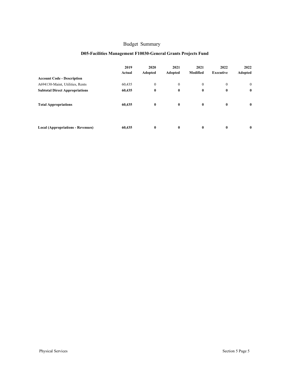## **D05-Facilities Management F10030-General Grants Projects Fund**

|                                          | 2019<br>Actual | 2020<br>Adopted | 2021<br><b>Adopted</b> | 2021<br><b>Modified</b> | 2022<br><b>Executive</b> | 2022<br>Adopted |
|------------------------------------------|----------------|-----------------|------------------------|-------------------------|--------------------------|-----------------|
| <b>Account Code - Description</b>        |                |                 |                        |                         |                          |                 |
| A694130-Maint, Utilities, Rents          | 60,435         | $\mathbf{0}$    | $\mathbf{0}$           | $\mathbf{0}$            | $\mathbf{0}$             | $\mathbf{0}$    |
| <b>Subtotal Direct Appropriations</b>    | 60,435         | $\bf{0}$        | $\bf{0}$               | $\bf{0}$                | $\bf{0}$                 | $\bf{0}$        |
| <b>Total Appropriations</b>              | 60,435         | $\bf{0}$        | $\bf{0}$               | $\bf{0}$                | $\bf{0}$                 | $\bf{0}$        |
| <b>Local (Appropriations - Revenues)</b> | 60,435         | $\bf{0}$        | $\bf{0}$               | $\bf{0}$                | $\bf{0}$                 | $\mathbf{0}$    |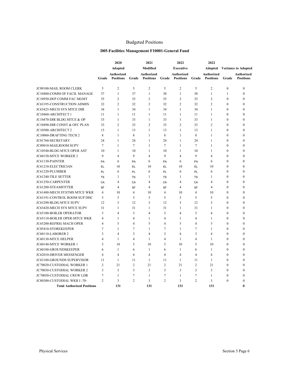## Budgeted Positions

#### **D05-Facilities Management F10001-General Fund**

|                                   |                | 2020                           |                | 2021                           |                | 2022                           |                | 2022                           |                            |                                |
|-----------------------------------|----------------|--------------------------------|----------------|--------------------------------|----------------|--------------------------------|----------------|--------------------------------|----------------------------|--------------------------------|
|                                   |                | <b>Adopted</b>                 |                | <b>Modified</b>                |                | Executive                      |                | Adopted                        | <b>Variance to Adopted</b> |                                |
|                                   | Grade          | Authorized<br><b>Positions</b> | Grade          | Authorized<br><b>Positions</b> | Grade          | Authorized<br><b>Positions</b> | Grade          | Authorized<br><b>Positions</b> | Grade                      | Authorized<br><b>Positions</b> |
| JC09100-MAIL ROOM CLERK           | 5              | $\overline{c}$                 | 5              | $\overline{c}$                 | 5              | $\overline{c}$                 | 5              | $\overline{2}$                 | $\mathbf{0}$               | $\theta$                       |
| JC10480-COMM OF FACIL MANAGE      | 37             | $\mathbf{1}$                   | 37             | $\mathbf{1}$                   | 38             | $\mathbf{1}$                   | 38             | $\mathbf{1}$                   | 1                          | $\theta$                       |
| JC10950-DEP COMM FAC MGMT         | 35             | $\overline{c}$                 | 35             | $\overline{c}$                 | 35             | $\overline{c}$                 | 35             | $\overline{c}$                 | $\mathbf{0}$               | $\theta$                       |
| JC63195-CONSTRUCTION ADMIN        | 32             | $\overline{c}$                 | 32             | $\overline{c}$                 | 32             | $\overline{2}$                 | 32             | $\overline{2}$                 | $\mathbf{0}$               | $\theta$                       |
| JC63425-MECH SYS MTCE DIR         | 34             | $\mathbf{1}$                   | 34             | $\mathbf{1}$                   | 34             | $\mathbf{1}$                   | 34             | $\mathbf{1}$                   | $\mathbf{0}$               | $\theta$                       |
| JC10460-ARCHITECT 1               | 11             | $\mathbf{1}$                   | 11             | $\mathbf{1}$                   | 11             | $\mathbf{1}$                   | 11             | $\mathbf{1}$                   | $\mathbf{0}$               | $\theta$                       |
| JC10470-DIR BLDG MTCE & OP        | 33             | $\mathbf{1}$                   | 33             | $\mathbf{1}$                   | 33             | 1                              | 33             | $\mathbf{1}$                   | $\mathbf{0}$               | $\theta$                       |
| JC10490-DIR CONST & OFC PLAN      | 33             | $\overline{c}$                 | 33             | $\overline{2}$                 | 33             | $\overline{c}$                 | 33             | $\overline{c}$                 | $\theta$                   | $\Omega$                       |
| JC10500-ARCHITECT 2               | 13             | $\mathbf{1}$                   | 13             | $\mathbf{1}$                   | 13             | $\mathbf{1}$                   | 13             | $\mathbf{1}$                   | $\boldsymbol{0}$           | $\theta$                       |
| JC10060-DRAFTING TECH 2           | 8              | $\mathbf{1}$                   | 8              | $\mathbf{1}$                   | 8              | $\mathbf{1}$                   | 8              | $\mathbf{1}$                   | $\boldsymbol{0}$           | $\theta$                       |
| JC01760-SECRETARY                 | 24             | 1                              | 24             | 1                              | 24             | 1                              | 24             | 1                              | $\boldsymbol{0}$           | $\mathbf{0}$                   |
| JC09010-MAILROOM SUPV             | 7              | 1                              | 7              | 1                              | 7              | 1                              | $\tau$         | 1                              | $\boldsymbol{0}$           | $\mathbf{0}$                   |
| JC10540-BLDG MTCE OPER AST        | 10             | 1                              | 10             | 1                              | 10             | 1                              | 10             | 1                              | $\boldsymbol{0}$           | $\mathbf{0}$                   |
| JC60150-MTCE WORKER 2             | 9              | 4                              | 9              | $\overline{4}$                 | 9              | $\overline{4}$                 | 9              | $\overline{4}$                 | $\mathbf{0}$               | $\mathbf{0}$                   |
| JC61130-PAINTER                   | PA             | 6                              | PA             | 6                              | PA             | 6                              | PA             | 6                              | $\mathbf{0}$               | $\mathbf{0}$                   |
| JC61210-ELECTRICIAN               | EL             | 10                             | <b>EL</b>      | 10                             | EL             | 10                             | <b>EL</b>      | 10                             | $\boldsymbol{0}$           | $\mathbf{0}$                   |
| JC61220-PLUMBER                   | PL             | 6                              | PL             | 6                              | PL             | 6                              | PL             | 6                              | $\boldsymbol{0}$           | $\mathbf{0}$                   |
| <b>JC61240-TILE SETTER</b>        | <b>TS</b>      | 1                              | <b>TS</b>      | 1                              | <b>TS</b>      | 1                              | <b>TS</b>      | 1                              | $\mathbf{0}$               | $\Omega$                       |
| JC61250-CARPENTER                 | CA             | 4                              | CA             | 4                              | CA             | $\overline{4}$                 | CA             | $\overline{4}$                 | $\boldsymbol{0}$           | $\mathbf{0}$                   |
| JC61280-STEAMFITTER               | <b>SF</b>      | 4                              | <b>SF</b>      | 4                              | SF             | $\overline{4}$                 | <b>SF</b>      | $\overline{4}$                 | $\mathbf{0}$               | $\mathbf{0}$                   |
| JC61480-MECH SYSTMS MTCE WKR      | $\overline{4}$ | 10                             | $\overline{4}$ | 10                             | 4              | 10                             | $\overline{4}$ | 10                             | $\mathbf{0}$               | $\mathbf{0}$                   |
| JC63191-CONTROL ROOM SUP DHC      | 5              | 5                              | 5              | 5                              | 5              | 5                              | 5              | 5                              | $\boldsymbol{0}$           | $\mathbf{0}$                   |
| JC63290-BLDG MTCE SUPV            | 12             | 3                              | 12             | 3                              | 12             | 3                              | 12             | 3                              | $\boldsymbol{0}$           | $\mathbf{0}$                   |
| JC63420-MECH SYS MTCE SUPV        | 31             | 1                              | 31             | $\mathbf{1}$                   | 31             | $\mathbf{1}$                   | 31             | 1                              | $\mathbf{0}$               | $\theta$                       |
| JC65100-BOILER OPERATOR           | 3              | $\overline{4}$                 | 3              | $\overline{4}$                 | 3              | $\overline{4}$                 | 3              | $\overline{4}$                 | $\mathbf{0}$               | $\theta$                       |
| JC65110-BOILER OPER-MTCE WKR      | 4              | 1                              | 4              | $\mathbf{1}$                   | $\overline{4}$ | 1                              | $\overline{4}$ | 1                              | $\mathbf{0}$               | $\theta$                       |
| JC65200-REFRIG MACH OPER          | $\overline{4}$ | 5                              | $\overline{4}$ | 5                              | $\overline{4}$ | 5                              | $\overline{4}$ | 5                              | $\mathbf{0}$               | $\mathbf{0}$                   |
| JC05410-STOREKEEPER               | 7              | 1                              | 7              | $\mathbf{1}$                   | 7              | 1                              | $\tau$         | 1                              | $\mathbf{0}$               | $\theta$                       |
| JC60110-LABORER 2                 | 3              | $\overline{4}$                 | 3              | $\overline{4}$                 | 3              | $\overline{4}$                 | 3              | $\overline{4}$                 | $\boldsymbol{0}$           | $\theta$                       |
| JC60130-MTCE HELPER               | 4              | 1                              | $\overline{4}$ | $\mathbf{1}$                   | $\overline{4}$ | 1                              | $\overline{4}$ | 1                              | $\mathbf{0}$               | $\theta$                       |
| JC60140-MTCE WORKER 1             | 5              | 10                             | 5              | 10                             | 5              | 10                             | 5              | 10                             | $\mathbf{0}$               | $\theta$                       |
| JC60180-GROUNDSKEEPER             | 6              | $\mathbf{1}$                   | 6              | $\mathbf{1}$                   | 6              | $\mathbf{1}$                   | 6              | $\mathbf{1}$                   | $\mathbf{0}$               | $\theta$                       |
| <b>JC62010-DRIVER MESSENGER</b>   | $\overline{4}$ | $\overline{4}$                 | $\overline{4}$ | $\overline{4}$                 | $\overline{4}$ | $\overline{4}$                 | $\overline{4}$ | $\overline{4}$                 | $\mathbf{0}$               | $\theta$                       |
| <b>JC63180-GROUNDS SUPERVISOR</b> | 11             | $\mathbf{1}$                   | 11             | $\mathbf{1}$                   | 11             | 1                              | 11             | $\mathbf{1}$                   | $\mathbf{0}$               | $\mathbf{0}$                   |
| JC70020-CUSTODIAL WORKER 1        | $\overline{c}$ | 21                             | $\overline{2}$ | 21                             | $\overline{2}$ | 21                             | $\overline{2}$ | 21                             | $\mathbf{0}$               | $\theta$                       |
| <b>JC70030-CUSTODIAL WORKER 2</b> | 3              | 3                              | 3              | 3                              | 3              | 3                              | 3              | 3                              | $\mathbf{0}$               | $\theta$                       |
| JC70050-CUSTODIAL CREW LDR        | 7              | $\mathbf{1}$                   | 7              | $\mathbf{1}$                   | $\tau$         | $\mathbf{1}$                   | $\overline{7}$ | $\mathbf{1}$                   | $\mathbf{0}$               | $\theta$                       |
| JC80300-CUSTODIAL WKR I-70-       | $\overline{2}$ | 3                              | $\overline{2}$ | 3                              | $\overline{2}$ | 3                              | $\overline{c}$ | 3                              | $\mathbf{0}$               | $\theta$                       |
| <b>Total Authorized Positions</b> |                | 131                            |                | 131                            |                | 131                            |                | 131                            |                            | 0                              |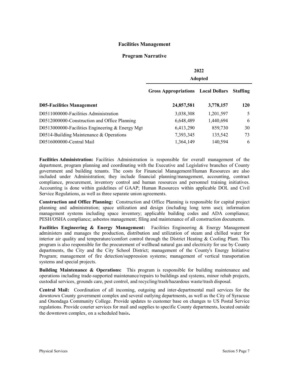#### **Facilities Management**

#### **Program Narrative**

|                                                   |                                           | 2022<br><b>Adopted</b> |                 |
|---------------------------------------------------|-------------------------------------------|------------------------|-----------------|
|                                                   | <b>Gross Appropriations</b> Local Dollars |                        | <b>Staffing</b> |
| <b>D05-Facilities Management</b>                  | 24,857,581                                | 3,778,157              | 120             |
| D0511000000-Facilities Administration             | 3,038,308                                 | 1,201,597              | 5               |
| D0512000000-Construction and Office Planning      | 6,648,489                                 | 1,440,694              | 6               |
| D0513000000-Facilities Engineering $&$ Energy Mgt | 6,413,290                                 | 859,730                | 30              |
| D0514-Building Maintenance $&$ Operations         | 7,393,345                                 | 135,542                | 73              |
| D0516000000-Central Mail                          | 1,364,149                                 | 140,594                | 6               |

**Facilities Administration:** Facilities Administration is responsible for overall management of the department, program planning and coordinating with the Executive and Legislative branches of County government and building tenants. The costs for Financial Management/Human Resources are also included under Administration; they include financial planning/management, accounting, contract compliance, procurement, inventory control and human resources and personnel training initiatives. Accounting is done within guidelines of GAAP; Human Resources within applicable DOL and Civil Service Regulations, as well as three separate union agreements.

**Construction and Office Planning:** Construction and Office Planning is responsible for capital project planning and administration; space utilization and design (including long term use); information management systems including space inventory; applicable building codes and ADA compliance; PESH/OSHA compliance; asbestos management; filing and maintenance of all construction documents.

**Facilities Engineering & Energy Management:** Facilities Engineering & Energy Management administers and manages the production, distribution and utilization of steam and chilled water for interior air quality and temperature/comfort control through the District Heating & Cooling Plant. This program is also responsible for the procurement of wellhead natural gas and electricity for use by County departments, the City and the City School District; management of the County's Energy Initiative Program; management of fire detection/suppression systems; management of vertical transportation systems and special projects.

**Building Maintenance & Operations:** This program is responsible for building maintenance and operations including trade-supported maintenance/repairs to buildings and systems, minor rehab projects, custodial services, grounds care, pest control, and recycling/trash/hazardous waste/trash disposal.

**Central Mail:** Coordination of all incoming, outgoing and inter-departmental mail services for the downtown County government complex and several outlying departments, as well as the City of Syracuse and Onondaga Community College. Provide updates to customer base on changes to US Postal Service regulations. Provide courier services for mail and supplies to specific County departments, located outside the downtown complex, on a scheduled basis**.**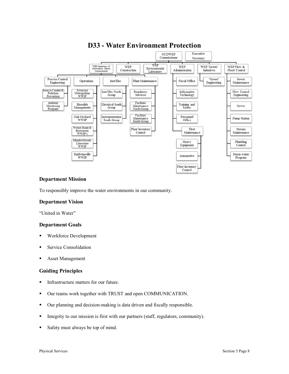

# **D33 - Water Environment Protection**

## **Department Mission**

To responsibly improve the water environments in our community.

## **Department Vision**

"United in Water"

## **Department Goals**

- § Workforce Development
- § Service Consolidation
- § Asset Management

#### **Guiding Principles**

- Infrastructure matters for our future.
- § Our teams work together with TRUST and open COMMUNICATION.
- § Our planning and decision-making is data driven and fiscally responsible.
- Integrity to our mission is first with our partners (staff, regulators, community).
- Safety must always be top of mind.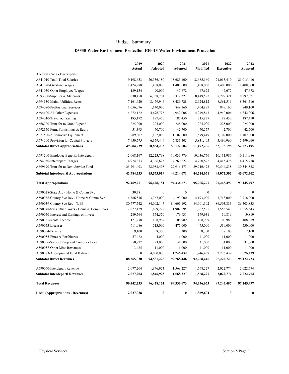#### **D3330-Water Environment Protection F20013-Water Environment Protection**

|                                             | 2019             | 2020             | 2021             | 2021             | 2022             | 2022             |
|---------------------------------------------|------------------|------------------|------------------|------------------|------------------|------------------|
|                                             | Actual           | Adopted          | Adopted          | Modified         | <b>Executive</b> | Adopted          |
| <b>Account Code - Description</b>           |                  |                  |                  |                  |                  |                  |
| A641010 Total-Total Salaries                | 19,198,653       | 20,356,180       | 18,685,160       | 18,685,160       | 21,015,410       | 21,015,410       |
| A641020-Overtime Wages                      | 1,424,988        | 1,408,000        | 1,408,000        | 1,408,000        | 1,408,000        | 1,408,000        |
| A641030-Other Employee Wages                | 139,154          | 90,000           | 47,672           | 47,672           | 47,672           | 47,672           |
| A693000-Supplies & Materials                | 7,030,458        | 6,738,701        | 8,312,321        | 8,449,592        | 8,292,321        | 8,292,321        |
| A694130-Maint, Utilities, Rents             | 7,161,620        | 8,479,946        | 8,489,728        | 8,624,812        | 8,561,516        | 8,561,516        |
| A694080-Professional Services               | 1,056,096        | 1,140,030        | 849,160          | 1,404,889        | 849,160          | 849,160          |
| A694100-All Other Expenses                  | 4,272,122        | 4,696,776        | 4,942,006        | 4,949,843        | 4,942,006        | 4,842,006        |
| A694010-Travel & Training                   | 185,172          | 187,450          | 187,450          | 215,827          | 187,450          | 187,450          |
| A668720-Transfer to Grant Expend            | 225,000          | 225,000          | 225,000          | 225,000          | 225,000          | 225,000          |
| A692150-Furn, Furnishings & Equip           | 51,393           | 70,700           | 42,700           | 70,557           | 42,700           | 42,700           |
| A671500-Automotive Equipment                | 989,307          | 1,102,000        | 1,102,000        | 1,579,449        | 1,102,000        | 1,102,000        |
| A674600-Provision for Capital Projects      | 7,950,775        | 6,359,449        | 5,831,405        | 5,831,405        | 5,499,960        | 5,499,960        |
| <b>Subtotal Direct Appropriations</b>       | 49,684,739       | 50,854,232       | 50,122,602       | 51,492,206       | 52,173,195       | 52,073,195       |
| A691200-Employee Benefits-Interdepart       | 12,068,167       | 12,223,798       | 10,036,776       | 10,036,776       | 10,111,986       | 10,111,986       |
| A694950-Interdepart Charges                 | 4,924,873        | 4,366,623        | 4,260,822        | 4,260,822        | 4,415,478        | 4,415,478        |
| A699690-Transfer to Debt Service Fund       | 25,791,493       | 28,983,498       | 29,916,473       | 29,916,473       | 30,544,838       | 30,544,838       |
| <b>Subtotal Interdepartl Appropriations</b> | 42,784,533       | 45,573,919       | 44,214,071       | 44,214,071       | 45,072,302       | 45,072,302       |
| <b>Total Appropriations</b>                 | 92,469,271       | 96,428,151       | 94,336,673       | 95,706,277       | 97,245,497       | 97,145,497       |
| A590028-State Aid - Home & Comm Svc         | 30,381           | $\boldsymbol{0}$ | $\boldsymbol{0}$ | $\boldsymbol{0}$ | $\boldsymbol{0}$ | $\boldsymbol{0}$ |
| A590038-County Svc Rev - Home & Comm Svc    | 4,386,516        | 3,767,000        | 4,193,000        | 4,193,000        | 3,718,000        | 3,718,000        |
| A590039-County Svc Rev - WEP                | 80,777,542       | 84,002,147       | 84,601,192       | 84,601,192       | 86,503,833       | 86,503,833       |
| A590048-Svcs Other Govts - Home & Comm Svcs | 2,027,429        | 1,899,222        | 1,902,595        | 1,902,595        | 1,555,543        | 1,555,543        |
| A590050-Interest and Earnings on Invest     | 289,564          | 174,570          | 179,931          | 179,931          | 19,819           | 19,819           |
| A590051-Rental Income                       | 121,778          | 108,989          | 108,989          | 108,989          | 108,989          | 108,989          |
| A590053-Licenses                            | 611,086          | 513,000          | 475,000          | 475,000          | 530,000          | 530,000          |
| A590054-Permits                             | 9,100            | 8,300            | 8,300            | 8,300            | 7,100            | 7,100            |
| A590055-Fines & Forfeitures                 | 57,422           | 4,000            | 11,000           | 11,000           | 11,000           | 11,000           |
| A590056-Sales of Prop and Comp for Loss     | 50,727           | 93,000           | 31,000           | 31,000           | 31,000           | 31,000           |
| A590057-Other Misc Revenues                 | 3,485            | 11,000           | 11,000           | 11,000           | 11,000           | 11,000           |
| A590083-Appropriated Fund Balance           | $\boldsymbol{0}$ | 4,000,000        | 1,246,439        | 1,246,439        | 2,726,439        | 2,626,439        |
| <b>Subtotal Direct Revenues</b>             | 88,365,030       | 94,581,228       | 92,768,446       | 92,768,446       | 95,222,723       | 95,122,723       |
| A590060-Interdepart Revenue                 | 2,077,204        | 1,846,923        | 1,568,227        | 1,568,227        | 2,022,774        | 2,022,774        |
| <b>Subtotal Interdepartl Revenues</b>       | 2,077,204        | 1,846,923        | 1,568,227        | 1,568,227        | 2,022,774        | 2,022,774        |
| <b>Total Revenues</b>                       | 90,442,233       | 96,428,151       | 94,336,673       | 94,336,673       | 97,245,497       | 97,145,497       |
| <b>Local (Appropriations - Revenues)</b>    | 2,027,038        | $\bf{0}$         | $\bf{0}$         | 1,369,604        | $\bf{0}$         | $\bf{0}$         |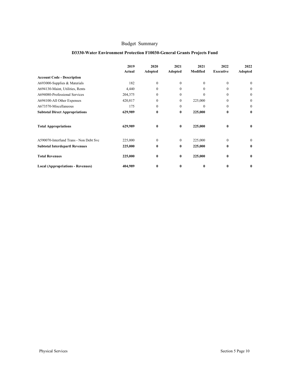## **D3330-Water Environment Protection F10030-General Grants Projects Fund**

|                                          | 2019<br>Actual | 2020<br>Adopted | 2021<br>Adopted | 2021<br>Modified | 2022<br><b>Executive</b> | 2022<br>Adopted |
|------------------------------------------|----------------|-----------------|-----------------|------------------|--------------------------|-----------------|
| <b>Account Code - Description</b>        |                |                 |                 |                  |                          |                 |
| A693000-Supplies & Materials             | 182            | $\mathbf{0}$    | $\mathbf{0}$    | $\Omega$         | $\Omega$                 | $\mathbf{0}$    |
| A694130-Maint, Utilities, Rents          | 4,440          | $\Omega$        | $\theta$        | $\Omega$         | $\Omega$                 | $\Omega$        |
| A694080-Professional Services            | 204,375        | $\Omega$        | $\theta$        | $\theta$         | $\Omega$                 | $\mathbf{0}$    |
| A694100-All Other Expenses               | 420,817        | $\Omega$        | $\mathbf{0}$    | 225,000          | $\Omega$                 | $\mathbf{0}$    |
| A673570-Miscellaneous                    | 175            | $\Omega$        | $\theta$        | $\theta$         | $\Omega$                 | $\mathbf{0}$    |
| <b>Subtotal Direct Appropriations</b>    | 629,989        | $\bf{0}$        | $\bf{0}$        | 225,000          | $\mathbf{0}$             | $\bf{0}$        |
| <b>Total Appropriations</b>              | 629,989        | $\bf{0}$        | $\bf{0}$        | 225,000          | $\mathbf{0}$             | 0               |
| A590070-Interfund Trans - Non Debt Svc   | 225,000        | $\Omega$        | $\Omega$        | 225,000          | $\Omega$                 | $\Omega$        |
| <b>Subtotal Interdepartl Revenues</b>    | 225,000        | $\bf{0}$        | $\bf{0}$        | 225,000          | $\mathbf{0}$             | $\bf{0}$        |
| <b>Total Revenues</b>                    | 225,000        | $\bf{0}$        | $\bf{0}$        | 225,000          | $\mathbf{0}$             | $\bf{0}$        |
| <b>Local (Appropriations - Revenues)</b> | 404,989        | $\bf{0}$        | $\bf{0}$        | 0                | $\bf{0}$                 | $\bf{0}$        |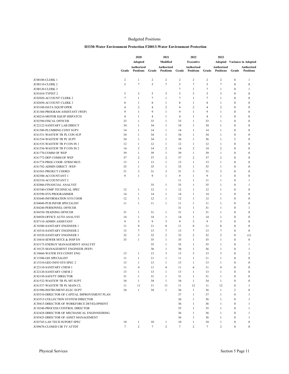#### **Budgeted Positions**

#### D3330-Water Environment Protection F20013-Water Environment Protection

|                                              |                 | 2020                           |                 | 2021                           |                | 2022                           |                 | 2022                           |                  |                                    |
|----------------------------------------------|-----------------|--------------------------------|-----------------|--------------------------------|----------------|--------------------------------|-----------------|--------------------------------|------------------|------------------------------------|
|                                              |                 | Adopted                        |                 | Modified                       |                | <b>Executive</b>               |                 |                                |                  | <b>Adopted</b> Variance to Adopted |
|                                              | Grade           | Authorized<br><b>Positions</b> | Grade           | Authorized<br><b>Positions</b> | Grade          | Authorized<br><b>Positions</b> | Grade           | Authorized<br><b>Positions</b> | Grade            | Authorized<br><b>Positions</b>     |
|                                              |                 |                                |                 |                                |                |                                |                 |                                |                  |                                    |
| <b>JC00100-CLERK1</b>                        | $\overline{2}$  | $\mathbf{1}$                   | $\overline{c}$  | $\overline{2}$                 | $\overline{c}$ | 2                              | 2               | $\overline{2}$                 | $\boldsymbol{0}$ | 1                                  |
| JC00110-CLERK 2                              | 5               | $\tau$                         | 5               | $\overline{7}$                 | 5              | $\tau$                         | 5               | $\overline{7}$                 | $\mathbf{0}$     | $\boldsymbol{0}$                   |
| <b>JC00120-CLERK 3</b>                       |                 |                                |                 |                                | $\tau$         | 1                              | $\overline{7}$  | $\mathbf{1}$                   | $\boldsymbol{0}$ | 1                                  |
| JC01010-TYPIST 2                             | 5               | 3                              | 5               | 3                              | 5              | 3                              | 5               | $\overline{\mathbf{3}}$        | $\mathbf{0}$     | $\boldsymbol{0}$                   |
| JC02020-ACCOUNT CLERK 2                      | $\tau$          | $\mathbf{1}$                   | 7               | $\mathbf{1}$                   | $\tau$         | 1                              | 7               | 1                              | $\mathbf{0}$     | $\mathbf{0}$                       |
| JC02050-ACCOUNT CLERK 3                      | 8               | $\mathbf{1}$                   | 8               | $\mathbf{1}$                   | 8              | $\mathbf{1}$                   | 8               | $\mathbf{1}$                   | $\mathbf{0}$     | $\boldsymbol{0}$                   |
| JC03100-DATA EQUIP OPER                      | $\overline{4}$  | $\overline{c}$                 | 4               | $\overline{2}$                 | $\overline{4}$ | $\overline{c}$                 | $\overline{4}$  | $\overline{2}$                 | $\mathbf{0}$     | $\boldsymbol{0}$                   |
| JC41360-PROGRAM ASSISTANT (WEP)              | 9               | $\mathbf{1}$                   | 9               | $\mathbf{1}$                   | 9              | 1                              | 9               | $\mathbf{1}$                   | $\mathbf{0}$     | $\boldsymbol{0}$                   |
| JC60210-MOTOR EQUIP DISPATCH                 | $\overline{4}$  | 1                              | 4               | $\mathbf{1}$                   | $\overline{4}$ | 1                              | $\overline{4}$  | $\mathbf{1}$                   | $\mathbf{0}$     | $\mathbf{0}$                       |
| JC02590-FISCAL OFFICER                       | 33              | $\mathbf{1}$                   | 33              | $\mathbf{1}$                   | 33             | 1                              | 33              | 1                              | $\mathbf{0}$     | $\mathbf{0}$                       |
| JC22122-SANITARY LAB DIRECT                  | 34              | $\mathbf{1}$                   | 34              | $\mathbf{1}$                   | 34             | 1                              | 34              | $\mathbf{1}$                   | $\mathbf{0}$     | $\boldsymbol{0}$                   |
| JC61500-PLUMBING CONT SUPV                   | 14              | $\mathbf{1}$                   | 14              | $\mathbf{1}$                   | 14             | $\mathbf{1}$                   | 14              | $\mathbf{1}$                   | $\mathbf{0}$     | $\boldsymbol{0}$                   |
| JC61531-WASTEW TR PL CON SUP                 | 34              | $\mathbf{1}$                   | 34              | $\mathbf{1}$                   | 34             | 1                              | 34              | 1                              | $\mathbf{0}$     | $\mathbf{0}$                       |
| JC61534-WASTEW TR PL SUPT                    | 34              | 1                              | 34              | $\mathbf{1}$                   | 36             | 1                              | 36              | 1                              | 2                | $\boldsymbol{0}$                   |
| JC61535-WASTEW TR P CON IN 1                 | 12              | $\mathbf{1}$                   | 12              | $\mathbf{1}$                   | 12             | 1                              | 12              | $\mathbf{1}$                   | $\mathbf{0}$     | $\boldsymbol{0}$                   |
| JC61536-WASTEW TR P CON IN 2                 | 14              | 2                              | 14              | 2                              | 14             | $\overline{c}$                 | 14              | $\overline{2}$                 | $\mathbf{0}$     | $\boldsymbol{0}$                   |
| JC61770-COMM OF WEP                          | 39              | $\mathbf{1}$                   | 39              | $\mathbf{1}$                   | 39             | $\mathbf{1}$                   | 39              | $\mathbf{1}$                   | $\mathbf{0}$     | $\mathbf{0}$                       |
| JC61772-DEP COMM OF WEP                      | 37              | $\overline{c}$                 | 37              | 2                              | 37             | $\overline{c}$                 | 37              | $\overline{c}$                 | $\mathbf{0}$     | $\mathbf{0}$                       |
| JC61774-PROG COOR -STRM MGT-                 | 13              | $\mathbf{1}$                   | 13              | $\mathbf{1}$                   | 13             | 1                              | 13              | $\mathbf{1}$                   | $\mathbf{0}$     | $\boldsymbol{0}$                   |
| JC61782-ADMIN DIRECT-WEP-                    | 35              | $\mathbf{1}$                   | 35              | $\mathbf{1}$                   | 35             | 1                              | 35              | $\mathbf{1}$                   | $\mathbf{0}$     | $\boldsymbol{0}$                   |
| JC63563-PROJECT COORD                        | 31              | 3                              | 31              | 3                              | 31             | 3                              | 31              | 3                              | $\mathbf{0}$     | $\mathbf{0}$                       |
| JC02300-ACCOUNTANT 1                         | 9               | $\mathbf{1}$                   | 9               | $\mathbf{1}$                   | 9              | 1                              | 9               | $\mathbf{1}$                   | $\mathbf{0}$     | $\mathbf{0}$                       |
| JC02310-ACCOUNTANT 2                         |                 |                                |                 |                                | 11             | 1                              | 11              | 1                              | $\mathbf{0}$     | 1                                  |
| JC02806-FINANCIAL ANALYST                    |                 |                                | 35              | $\mathbf{1}$                   | 35             | 1                              | 35              | $\mathbf{1}$                   | $\mathbf{0}$     | 1                                  |
| JC03340-COMP TECHNICAL SPEC                  | 12              | $\mathbf{1}$                   | 12              | $\mathbf{1}$                   | 12             | 1                              | 12              | $\mathbf{1}$                   | $\mathbf{0}$     | $\boldsymbol{0}$                   |
| <b>JC03590-SYS PROGRAMMER</b>                | 14              | $\mathbf{1}$                   | 14              | $\mathbf{1}$                   | 14             | 1                              | 14              | $\mathbf{1}$                   | $\mathbf{0}$     | $\mathbf{0}$                       |
| JC03640-INFORMATION SYS COOR                 | 12              | $\mathbf{1}$                   | 12              | $\mathbf{1}$                   | 12             | 1                              | 12              | $\mathbf{1}$                   | $\mathbf{0}$     | $\boldsymbol{0}$                   |
| JC04040-PUB INFOR SPECIALIST                 | 11              | $\mathbf{1}$                   | 11              | $\mathbf{1}$                   | 11             | 1                              | 11              | $\mathbf{1}$                   | $\mathbf{0}$     | $\boldsymbol{0}$                   |
| JC04240-PERSONNEL OFFICER                    |                 |                                |                 |                                | 31             | 1                              | 31              | $\mathbf{1}$                   | $\mathbf{0}$     | 1                                  |
| JC04350-TRAINING OFFICER                     | 31              | $\mathbf{1}$                   | 31              | $\mathbf{1}$                   | 31             | $\mathbf{1}$                   | 31              | $\mathbf{1}$                   | $\mathbf{0}$     | $\boldsymbol{0}$                   |
| JC04920-OFFICE AUTO ANALYST                  | 14              | $\mathbf{1}$                   | 14              | $\mathbf{1}$                   | 14             | 1                              | 14              | 1                              | $\mathbf{0}$     | $\mathbf{0}$                       |
| JC07110-ADMIN ASSISTANT                      | 9               | 3                              | 9               | 3                              | 9              | 3                              | 9               | $\overline{\mathbf{3}}$        | $\mathbf{0}$     | $\boldsymbol{0}$                   |
| JC10300-SANITARY ENGINEER 1                  | 11              | 8                              | 11              | 8                              | 11             | 8                              | 11              | 8                              | $\mathbf{0}$     | $\boldsymbol{0}$                   |
| JC10310-SANITARY ENGINEER 2                  | 13              | 7                              | 13              | 7                              | 13             | $\tau$                         | 13              | $\overline{7}$                 | $\boldsymbol{0}$ | $\boldsymbol{0}$                   |
| <b>JC10320-SANITARY ENGINEER 3</b>           | 32              | 3                              | 32              | $\sqrt{2}$                     | 32             | $\overline{c}$                 | 32              | $\overline{c}$                 | $\mathbf{0}$     | (1)                                |
| JC10410-SEWER MTCE & INSP EN                 | 35              | $\mathbf{1}$                   | 35              | $\mathbf{1}$                   | 35             | 1                              | 35              | $\mathbf{1}$                   | $\mathbf{0}$     | $\boldsymbol{0}$                   |
| JC63175-ENERGY MANAGEMENT ANALYST            |                 |                                | 35              | $\mathbf{1}$                   | 35             | 1                              | 35              | $\mathbf{1}$                   | $\mathbf{0}$     | 1                                  |
| JC10125-MANAGEMENT ENGINEER (WEP)            |                 |                                | 36              | $\mathbf{1}$                   | 36             | 1                              | 36              | $\mathbf{1}$                   | $\mathbf{0}$     | 1                                  |
| JC10660-WATER SYS CONST ENG                  | 13              | $\mathbf{1}$                   | 13              | 3                              | 13             | 3                              | 13              | 3                              | $\mathbf{0}$     | $\overline{c}$                     |
| JC15300-GIS SPECIALIST                       | 11              | 1                              | 11              | $\mathbf{1}$                   | 11             | 1                              | 11              | $\mathbf{1}$                   | $\mathbf{0}$     | $\mathbf{0}$                       |
| JC15310-GEO INFO SYS SPEC 2                  | 13              | $\mathbf{1}$                   | 13              | $\mathbf{1}$                   | 13             | 1                              | 13              | $\mathbf{1}$                   | $\mathbf{0}$     | $\boldsymbol{0}$                   |
| JC22110-SANITARY CHEM 1                      | 11              | 4                              | 11              | 4                              | 11             | 4                              | 11              | 4                              | $\boldsymbol{0}$ | $\mathbf{0}$                       |
| JC22120-SANITARY CHEM 2                      | 13              | $\mathbf{1}$                   | 13              | $\mathbf{1}$                   | 13             | $\mathbf{1}$                   | 13              | $\mathbf{1}$                   | $\boldsymbol{0}$ | $\mathbf{0}$                       |
| JC42150-SAFETY DIRECTOR                      | 31              | $\mathbf{1}$                   | 31              | $\mathbf{1}$                   | 31             | $\mathbf{1}$                   | 31              | 1                              | $\mathbf{0}$     | $\theta$                           |
| JC61532-WASTEW TR PL MT SUPT                 | 34              | $\mathbf{1}$                   | 34              | $\mathbf{1}$                   | 34             | $\mathbf{1}$                   | 34              | $\mathbf{1}$                   | $\boldsymbol{0}$ | $\mathbf{0}$                       |
| JC61537-WASTEW TR PL MAIN CL                 | 11              | 11                             | 11              | 11                             | 11             | 12                             | 11              | 12                             | $\boldsymbol{0}$ | 1                                  |
| JC61990-INSTRUMENT-ELEC SUPT                 | 34              | $\mathbf{1}$                   | 34              | $\mathbf{1}$                   | 36             | $\mathbf{1}$                   | 36              | 1                              | 2                | $\mathbf{0}$                       |
| JC05510-DIRECTOR OF CAPITAL IMPROVEMENT PLAN |                 |                                |                 |                                | 37             | $\mathbf{1}$                   | 37              | $\mathbf{1}$                   | $\mathbf{0}$     | 1                                  |
| JC63515-COLLECTION SYSTEM DIRECTOR           |                 |                                |                 |                                | 36             | $\mathbf{1}$                   | 36              | 1                              | $\mathbf{0}$     | 1                                  |
| JC30415-DIRECTOR OF WORKFORCE DEVELOPMENT    |                 |                                |                 |                                | 36             | $\mathbf{1}$                   | 36              | $\mathbf{1}$                   | $\boldsymbol{0}$ | 1                                  |
| JC10340-PROCESS CONTROL DIRECTOR             |                 |                                |                 |                                | 35             | $\mathbf{1}$                   | 35              | $\mathbf{1}$                   | $\mathbf{0}$     | 1                                  |
| JC63428-DIRECTOR OF MECHANICAL ENGINNEERING  |                 |                                |                 |                                | 36             | $\mathbf{1}$                   | 36              | 1                              | $\boldsymbol{0}$ | 1                                  |
| JC05425-DIRECTOR OF ASSET MANAGEMENT         |                 |                                |                 |                                | 36             | $\mathbf{1}$                   | 36              | $\mathbf{1}$                   | $\mathbf{0}$     | 1                                  |
| JC03745-LAN TECH SUPORT SPEC                 | 10              | $\mathbf{1}$                   | 10              | $\mathbf{1}$                   | 10             | $\mathbf{1}$                   | 10              | $\mathbf{1}$                   | $\boldsymbol{0}$ | $\boldsymbol{0}$                   |
| JC09670-CLOSED CIR TV ATTDT                  | $7\overline{ }$ | $\overline{c}$                 | $7\overline{ }$ | $\overline{c}$                 | $\tau$         | 2                              | $7\phantom{.0}$ | 2                              | $\mathbf{0}$     | $\mathbf{0}$                       |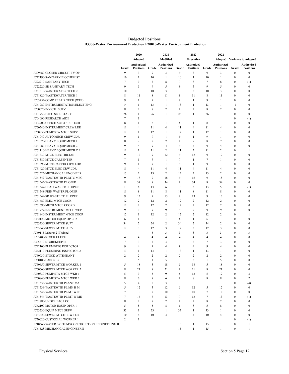#### **Budgeted Positions** D3330-Water Environment Protection F20013-Water Environment Protection

|                                                   |                       | 2020                             |                      | 2021                             |                | 2022                             |                | 2022                             |                              |                                    |
|---------------------------------------------------|-----------------------|----------------------------------|----------------------|----------------------------------|----------------|----------------------------------|----------------|----------------------------------|------------------------------|------------------------------------|
|                                                   |                       | Adopted                          |                      | Modified                         |                | <b>Executive</b>                 |                |                                  |                              | <b>Adopted</b> Variance to Adopted |
|                                                   |                       | Authorized                       |                      | Authorized                       |                | <b>Authorized</b>                |                | Authorized                       |                              | Authorized                         |
|                                                   | Grade<br>9            | <b>Positions</b><br>3            | Grade<br>9           | <b>Positions</b>                 | Grade<br>9     | <b>Positions</b>                 | Grade<br>9     | <b>Positions</b>                 | Grade<br>$\boldsymbol{0}$    | <b>Positions</b><br>$\mathbf{0}$   |
| JC09680-CLOSED CIRCUIT TV OP                      |                       |                                  |                      | 3                                |                | 3                                |                | 3                                |                              |                                    |
| JC22190-SANITARY BIOCHEMIST                       | 10<br>$7\phantom{.0}$ | $\mathbf{1}$<br>9                | 10<br>$\overline{7}$ | $\mathbf{1}$                     | 10<br>$\tau$   | $\mathbf{1}$<br>8                | 10<br>7        | $\mathbf{1}$<br>8                | 0<br>$\mathbf{0}$            | $\boldsymbol{0}$                   |
| JC22210-SANITARY TECH                             | 9                     | 5                                | 9                    | 8                                | 9              | 5                                | 9              |                                  | $\mathbf{0}$                 | (1)                                |
| JC22220-SR SANITARY TECH                          |                       |                                  |                      | 5                                |                |                                  |                | 5                                |                              | $\boldsymbol{0}$                   |
| JC61810-WASTEWATER TECH 2                         | 10                    | 3                                | 10                   | 3                                | 10             | 3                                | 10             | 3                                | $\mathbf{0}$                 | $\boldsymbol{0}$                   |
| JC61820-WASTEWATER TECH 1                         | 8                     | 11                               | 8                    | 11                               | 8              | 11                               | 8              | 11                               | $\mathbf{0}$                 | $\boldsymbol{0}$                   |
| JC03453-COMP REPAIR TECH (WEP)                    | 9                     | $\mathbf{1}$                     | 9                    | $\mathbf{1}$                     | 9              | $\mathbf{1}$                     | 9              | $\mathbf{1}$                     | $\boldsymbol{0}$             | $\boldsymbol{0}$                   |
| JC61980-INSTRUMENTATION/ELECT ENG                 | 14                    | $\mathbf{1}$                     | 13                   | $\mathbf{1}$                     | 13             | $\mathbf{1}$                     | 13             | $\mathbf{1}$                     | $-1$                         | $\boldsymbol{0}$                   |
| JC00020-INV CTL SUPV                              | 8                     | $\overline{2}$                   | 8                    | $\overline{c}$                   | 8              | $\overline{c}$                   | 8              | $\overline{2}$                   | $\mathbf{0}$                 | $\mathbf{0}$                       |
| JC01750-EXEC SECRETARY                            | 26                    | $\mathbf{1}$                     | 26                   | 1                                | 26             | $\mathbf{1}$                     | 26             | $\mathbf{1}$                     | $\mathbf{0}$                 | $\boldsymbol{0}$                   |
| JC04090-RESEARCH AIDE                             | $\tau$                | $\mathbf{1}$                     |                      |                                  |                |                                  |                |                                  | $\mathbf{0}$                 | (1)                                |
| JC04900-OFFICE AUTO SUP TECH                      | 8                     | $\mathbf{1}$                     | 8                    | $\mathbf{1}$                     | 8              | $\mathbf{1}$                     | 8              | $\mathbf{1}$                     | $\mathbf{0}$                 | $\boldsymbol{0}$                   |
| <b>JC60540-INSTRUMENT CREW LDR</b>                | 11                    | 4                                | 11                   | $\overline{4}$                   | 11             | $\overline{4}$                   | 11             | $\overline{4}$                   | $\mathbf{0}$                 | $\boldsymbol{0}$                   |
| JC60850-PUMP STA MTCE SUPV                        | 12                    | $\mathbf{1}$                     | 12                   | $\mathbf{1}$                     | 12             | $\mathbf{1}$                     | 12             | $\mathbf{1}$                     | $\mathbf{0}$                 | $\mathbf{0}$                       |
| JC61040-AUTO MECH CREW LDR                        | 9                     | $\mathbf{1}$                     | 9                    | 1                                | 9              | $\mathbf{1}$                     | 9              | 1                                | $\mathbf{0}$                 | $\boldsymbol{0}$                   |
| JC61070-HEAVY EQUIP MECH 1                        | 8                     | $\overline{7}$                   | 8                    | 7                                | 8              | $\tau$                           | 8              | $\tau$                           | $\mathbf{0}$                 | $\boldsymbol{0}$                   |
| JC61080-HEAVY EQUIP MECH 2                        | 9                     | 4                                | 9                    | $\overline{4}$                   | 9              | $\overline{4}$                   | 9              | $\overline{4}$                   | $\mathbf{0}$                 | $\mathbf{0}$                       |
| JC61110-HEAVY EQUIP MECH C L                      | 11                    | 1                                | 11                   | 2                                | 11             | 2                                | 11             | $\overline{c}$                   | $\mathbf{0}$                 | 1                                  |
| JC61330-MTCE ELECTRICIAN                          | 9                     | 12                               | 9                    | 12                               | 9              | 12                               | 9              | 12                               | $\mathbf{0}$                 | $\boldsymbol{0}$                   |
| JC61380-MTCE CARPENTER                            | $7\phantom{.0}$       | $\mathbf{1}$                     | 7                    | $\mathbf{1}$                     | 7              | $\mathbf{1}$                     | 7              | $\mathbf{1}$                     | $\mathbf{0}$                 | $\boldsymbol{0}$                   |
| JC61390-MTCE CARPTR CRW LDR                       | 9                     | $\mathbf{1}$                     | 9                    | $\mathbf{1}$                     | 9              | $\mathbf{1}$                     | 9              | $\mathbf{1}$                     | $\mathbf{0}$                 | $\boldsymbol{0}$                   |
| JC61420-MTCE ELEC CRW LDR                         | 11                    | $\overline{4}$                   | 11                   | $\overline{4}$                   | 11             | 4                                | 11             | $\overline{4}$                   | $\mathbf{0}$                 | $\mathbf{0}$                       |
| JC61525-MECHANICAL ENGINEER                       | 13                    | $\overline{2}$                   | 13                   | 2                                | 13             | $\overline{c}$                   | 13             | $\overline{c}$                   | $\mathbf{0}$                 | $\boldsymbol{0}$                   |
| JC61542-WASTEW TR PL MTC MEC                      | 9                     | 18                               | 9                    | 18                               | 9              | 18                               | 9              | 18                               | $\mathbf{0}$                 | $\mathbf{0}$                       |
| JC61545-WASTEW TR PL OPER                         | 8                     | 34                               | 8                    | 34                               | 8              | 34                               | 8              | 34                               | $\boldsymbol{0}$             | $\boldsymbol{0}$                   |
| JC61547-HEAD WAS TR PL OPER                       | 13                    | 6                                | 13                   | 6                                | 13             | 5                                | 13             | 5                                | $\mathbf{0}$                 | (1)                                |
| JC61548-PRIN WAS TR PL OPER                       | 11                    | 8                                | 11                   | 8                                | 11             | 8                                | 11             | 8                                | $\mathbf{0}$                 | $\boldsymbol{0}$                   |
| JC61549-SR WASTE TR PL OPER                       | 9                     | 13                               | 9                    | 13                               | 9              | 13                               | 9              | 13                               | $\mathbf{0}$                 | $\boldsymbol{0}$                   |
|                                                   |                       |                                  |                      |                                  |                |                                  |                |                                  |                              |                                    |
| JC61680-ELEC MTCE COOR                            | 12                    | $\overline{2}$<br>$\overline{c}$ | 12                   | $\overline{2}$<br>$\overline{2}$ | 12<br>12       | $\overline{c}$<br>$\overline{c}$ | 12             | $\overline{c}$<br>$\overline{2}$ | $\mathbf{0}$<br>$\mathbf{0}$ | $\boldsymbol{0}$<br>$\mathbf{0}$   |
| JC61690-MECH MTCE COORD                           | 12                    |                                  | 12                   |                                  |                |                                  | 12             |                                  |                              |                                    |
| JC61777-INSTRUMENT MECH WEP                       | 9                     | 9                                | 9                    | 9                                | 9              | 9                                | 9              | 9                                | $\mathbf{0}$                 | $\boldsymbol{0}$                   |
| JC61940-INSTRUMENT MTCE COOR                      | 12                    | $\mathbf{1}$                     | 12                   | 2                                | 12             | $\overline{c}$                   | 12             | $\overline{2}$                   | $\mathbf{0}$                 | 1                                  |
| JC62120-MOTOR EQUIP OPER 2                        | 6                     | $\mathbf{1}$                     | 6                    | $\mathbf{1}$                     | 6              | $\mathbf{1}$                     | 6              | $\mathbf{1}$                     | $\mathbf{0}$                 | $\boldsymbol{0}$                   |
| JC63330-SEWER MTCE SUPT                           | 34                    | $\overline{2}$                   | 34                   | 2                                | 34             | $\overline{c}$                   | 34             | $\overline{2}$                   | $\mathbf{0}$                 | $\boldsymbol{0}$                   |
| JC63340-SEWER MTCE SUPV                           | 12                    | 3                                | 12                   | 3                                | 12             | 3                                | 12             | 3                                | $\mathbf{0}$                 | $\overline{0}$                     |
| JC60115-Laborer 2 (Trainee)                       |                       |                                  | 3                    | 3                                | 3              | 3                                | 3              | 3                                | $\mathbf{0}$                 | 3                                  |
| <b>JC05400-STOCK CLERK</b>                        | $\overline{4}$        | 4                                | 4                    | $\overline{4}$                   | 4              | $\overline{4}$                   | $\overline{4}$ | $\overline{4}$                   | $\mathbf{0}$                 | $\mathbf{0}$                       |
| JC05410-STOREKEEPER                               | $\overline{7}$        | 3                                | 7                    | 3                                | 7              | 3                                | 7              | 3                                | $\mathbf{0}$                 | $\boldsymbol{0}$                   |
| <b>JC42100-PLUMBING INSPECTOR 1</b>               | 9                     | 4                                | 9                    | $\overline{4}$                   | 9              | $\overline{4}$                   | 9              | $\overline{4}$                   | $\mathbf{0}$                 | $\mathbf{0}$                       |
| JC42110-PLUMBING INSPECTOR 2                      | 13                    | 1                                | 13                   | 1                                | 13             | 1                                | 13             | 1                                | $\mathbf{0}$                 | $\mathbf{0}$                       |
| JC60030-STOCK ATTENDANT                           | $\overline{c}$        | $\overline{2}$                   | $\overline{c}$       | 2                                | $\overline{c}$ | $\overline{c}$                   | $\overline{2}$ | $\overline{2}$                   | $\mathbf{0}$                 | $\bf{0}$                           |
| JC60100-LABORER 1                                 | $\mathbf{1}$          | 5                                | $\mathbf{1}$         | 5                                | $\mathbf{1}$   | 5                                | $\mathbf{1}$   | 5                                | $\mathbf{0}$                 | $\mathbf{0}$                       |
| JC60650-SEWER MTCE WORKER 1                       | 5                     | 18                               | 5                    | 18                               | 5              | 18                               | 5              | 18                               | $\bf{0}$                     | $\boldsymbol{0}$                   |
| JC60660-SEWER MTCE WORKER 2                       | $\,$ 8 $\,$           | 21                               | $\,$ 8 $\,$          | 21                               | 8              | 21                               | 8              | 21                               | $\mathbf{0}$                 | $\mathbf{0}$                       |
| JC60830-PUMP STA MTCE WKR 1                       | 5                     | 9                                | 5                    | 9                                | 5              | 12                               | 5              | 12                               | $\mathbf{0}$                 | 3                                  |
| JC60840-PUMP STA MTCE WKR 2                       | 8                     | 6                                | 8                    | 6                                | 8              | 8                                | 8              | 8                                | $\boldsymbol{0}$             | $\overline{c}$                     |
| JC61538-WASTEW TR PLANT MAI                       | 5                     | $\overline{4}$                   | 5                    | 3                                |                |                                  |                |                                  | $\boldsymbol{0}$             | (4)                                |
| JC61539-WASTEW TR PL MN H M                       | 5                     | 12                               | 5                    | 12                               | 5              | 12                               | 5              | 12                               | $\mathbf{0}$                 | $\boldsymbol{0}$                   |
| JC61543-WASTEW TR PL MT W IE                      | $\tau$                | 10                               | $\overline{7}$       | 10                               | $\overline{7}$ | 10                               | $\overline{7}$ | 10                               | $\boldsymbol{0}$             | $\boldsymbol{0}$                   |
| JC61544-WASTEW TR PL MT W ME                      | $7\phantom{.0}$       | 14                               | $\overline{7}$       | 13                               | $\overline{7}$ | 13                               | $\overline{7}$ | 13                               | $\mathbf{0}$                 | (1)                                |
| JC61780-UNDER FAC LOC                             | 8                     | $\overline{c}$                   | 8                    | $\overline{c}$                   | 8              | $\overline{c}$                   | 8              | $\overline{c}$                   | $\mathbf{0}$                 | $\mathbf{0}$                       |
| JC62100-MOTOR EQUIP OPER 1                        | 5                     | 8                                | 5                    | 8                                | 5              | 8                                | 5              | 8                                | $\mathbf{0}$                 | $\boldsymbol{0}$                   |
|                                                   |                       |                                  |                      |                                  |                |                                  |                |                                  |                              |                                    |
| JC63230-EQUIP MTCE SUPV                           | 33                    | $\mathbf{1}$                     | 33                   | $\mathbf{1}$                     | 33             | $\mathbf{1}$                     | 33             | $\mathbf{1}$                     | $\Omega$                     | $\mathbf{0}$                       |
| JC63320-SEWER MTCE CRW LDR                        | 10                    | 4                                | 10                   | $\overline{4}$                   | 10             | 4                                | 10             | $\overline{4}$                   | $\mathbf{0}$                 | $\boldsymbol{0}$                   |
| JC70020-CUSTODIAL WORKER 1                        | $\overline{c}$        | $\mathbf{1}$                     |                      |                                  |                |                                  |                |                                  | $\mathbf{0}$                 | (1)                                |
| JC10665-WATER SYSTEMS CONSTRUCTION ENGINEERING II |                       |                                  |                      |                                  | 15             | $\mathbf{1}$                     | 15             | $\mathbf{1}$                     | $\boldsymbol{0}$             | $\mathbf{1}$                       |
| JC61528-MECHANICAL ENGINEER II                    |                       |                                  |                      |                                  | 15             | $\mathbf{1}$                     | 15             | $\mathbf{1}$                     | $\mathbf{0}$                 | $\mathbf{1}$                       |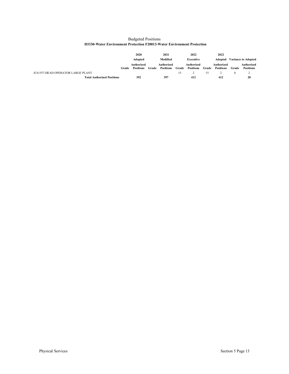|                                                                        | <b>Budgeted Positions</b> |  |
|------------------------------------------------------------------------|---------------------------|--|
| D3330-Water Environment Protection F20013-Water Environment Protection |                           |  |

|                                   |       | 2020                           |       | 2021                           |       | 2022                    |       | 2022                           |       |                                    |
|-----------------------------------|-------|--------------------------------|-------|--------------------------------|-------|-------------------------|-------|--------------------------------|-------|------------------------------------|
|                                   |       | <b>Adopted</b>                 |       | Modified                       |       | Executive               |       |                                |       | <b>Adopted</b> Variance to Adopted |
|                                   | Grade | Authorized<br><b>Positions</b> | Grade | Authorized<br><b>Positions</b> | Grade | Authorized<br>Positions | Grade | Authorized<br><b>Positions</b> | Grade | Authorized<br><b>Positions</b>     |
| JC61557-HEAD OPERATOR LARGE PLANT |       |                                |       |                                | 15    |                         | 15    |                                |       | ∸                                  |
| <b>Total Authorized Positions</b> |       | 392                            |       | 397                            |       | 412                     |       | 412                            |       | 20                                 |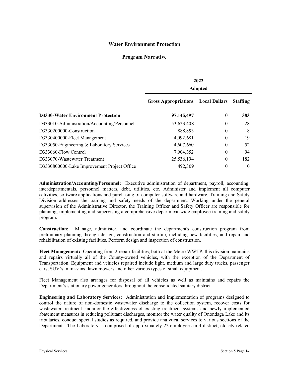## **Water Environment Protection**

## **Program Narrative**

|                                             | 2022                        |                      |                 |  |  |  |
|---------------------------------------------|-----------------------------|----------------------|-----------------|--|--|--|
|                                             | <b>Adopted</b>              |                      |                 |  |  |  |
|                                             | <b>Gross Appropriations</b> | <b>Local Dollars</b> | <b>Staffing</b> |  |  |  |
| <b>D3330-Water Environment Protection</b>   | 97,145,497                  | $\boldsymbol{0}$     | 383             |  |  |  |
| D333010-Administration/Accounting/Personnel | 53,623,408                  | $\theta$             | 28              |  |  |  |
| D3330200000-Construction                    | 888,893                     | $\theta$             | 8               |  |  |  |
| D3330400000-Fleet Management                | 4,092,681                   | $\theta$             | 19              |  |  |  |
| D333050-Engineering & Laboratory Services   | 4,607,660                   | $\theta$             | 52              |  |  |  |
| D333060-Flow Control                        | 7,904,352                   | $\theta$             | 94              |  |  |  |
| D333070-Wastewater Treatment                | 25,536,194                  | $\theta$             | 182             |  |  |  |
| D3330800000-Lake Improvement Project Office | 492,309                     | $\theta$             | $\theta$        |  |  |  |

**Administration/Accounting/Personnel:** Executive administration of department, payroll, accounting, interdepartmentals, personnel matters, debt, utilities, etc. Administer and implement all computer activities, software applications and purchasing of computer software and hardware. Training and Safety Division addresses the training and safety needs of the department. Working under the general supervision of the Administrative Director, the Training Officer and Safety Officer are responsible for planning, implementing and supervising a comprehensive department-wide employee training and safety program.

**Construction:** Manage, administer, and coordinate the department's construction program from preliminary planning through design, construction and startup, including new facilities, and repair and rehabilitation of existing facilities. Perform design and inspection of construction.

**Fleet Management:** Operating from 2 repair facilities, both at the Metro WWTP, this division maintains and repairs virtually all of the County-owned vehicles, with the exception of the Department of Transportation. Equipment and vehicles repaired include light, medium and large duty trucks, passenger cars, SUV's, mini-vans, lawn mowers and other various types of small equipment.

Fleet Management also arranges for disposal of all vehicles as well as maintains and repairs the Department's stationary power generators throughout the consolidated sanitary district.

**Engineering and Laboratory Services:** Administration and implementation of programs designed to control the nature of non-domestic wastewater discharge to the collection system, recover costs for wastewater treatment, monitor the effectiveness of existing treatment systems and newly implemented abatement measures in reducing pollutant discharges, monitor the water quality of Onondaga Lake and its tributaries, conduct special studies as required, and provide analytical services to various sections of the Department. The Laboratory is comprised of approximately 22 employees in 4 distinct, closely related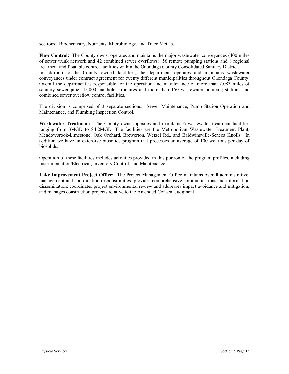sections: Biochemistry, Nutrients, Microbiology, and Trace Metals.

**Flow Control:** The County owns, operates and maintains the major wastewater conveyances (400 miles of sewer trunk network and 42 combined sewer overflows), 56 remote pumping stations and 8 regional treatment and floatable control facilities within the Onondaga County Consolidated Sanitary District. In addition to the County owned facilities, the department operates and maintains wastewater conveyances under contract agreement for twenty different municipalities throughout Onondaga County. Overall the department is responsible for the operation and maintenance of more than 2,083 miles of sanitary sewer pipe, 45,000 manhole structures and more than 150 wastewater pumping stations and combined sewer overflow control facilities.

The division is comprised of 3 separate sections: Sewer Maintenance, Pump Station Operation and Maintenance, and Plumbing Inspection Control.

**Wastewater Treatment:** The County owns, operates and maintains 6 wastewater treatment facilities ranging from 3MGD to 84.2MGD. The facilities are the Metropolitan Wastewater Treatment Plant, Meadowbrook-Limestone, Oak Orchard, Brewerton, Wetzel Rd., and Baldwinsville-Seneca Knolls. In addition we have an extensive biosolids program that processes an average of 100 wet tons per day of biosolids.

Operation of these facilities includes activities provided in this portion of the program profiles, including Instrumentation/Electrical, Inventory Control, and Maintenance.

**Lake Improvement Project Office:** The Project Management Office maintains overall administrative, management and coordination responsibilities; provides comprehensive communications and information dissemination; coordinates project environmental review and addresses impact avoidance and mitigation; and manages construction projects relative to the Amended Consent Judgment.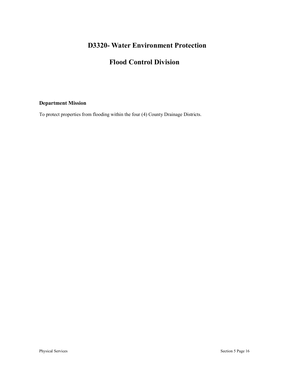# **D3320- Water Environment Protection**

# **Flood Control Division**

## **Department Mission**

To protect properties from flooding within the four (4) County Drainage Districts.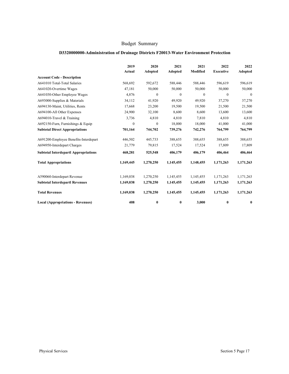#### **D3320000000-Administration of Drainage Districts F20013-Water Environment Protection**

|                                             | 2019<br>Actual   | 2020<br>Adopted  | 2021<br>Adopted | 2021<br>Modified | 2022<br><b>Executive</b> | 2022<br>Adopted |
|---------------------------------------------|------------------|------------------|-----------------|------------------|--------------------------|-----------------|
| <b>Account Code - Description</b>           |                  |                  |                 |                  |                          |                 |
| A641010 Total-Total Salaries                | 568,692          | 592,672          | 588,446         | 588,446          | 596,619                  | 596,619         |
| A641020-Overtime Wages                      | 47,181           | 50,000           | 50,000          | 50,000           | 50,000                   | 50,000          |
| A641030-Other Employee Wages                | 4,876            | $\mathbf{0}$     | $\mathbf{0}$    | $\mathbf{0}$     | $\mathbf{0}$             | $\theta$        |
| A693000-Supplies & Materials                | 34,112           | 41,920           | 49,920          | 49,920           | 37,270                   | 37,270          |
| A694130-Maint, Utilities, Rents             | 17,668           | 23,200           | 19,500          | 19,500           | 21,500                   | 21,500          |
| A694100-All Other Expenses                  | 24,900           | 32,100           | 8,600           | 8,600            | 13,600                   | 13,600          |
| A694010-Travel & Training                   | 3,736            | 4,810            | 4,810           | 7,810            | 4,810                    | 4,810           |
| A692150-Furn, Furnishings & Equip           | $\boldsymbol{0}$ | $\boldsymbol{0}$ | 18,000          | 18,000           | 41,000                   | 41,000          |
| <b>Subtotal Direct Appropriations</b>       | 701,164          | 744,702          | 739,276         | 742,276          | 764,799                  | 764,799         |
| A691200-Employee Benefits-Interdepart       | 446,502          | 445,733          | 388,655         | 388,655          | 388,655                  | 388,655         |
| A694950-Interdepart Charges                 | 21,779           | 79,815           | 17,524          | 17,524           | 17,809                   | 17,809          |
| <b>Subtotal Interdepartl Appropriations</b> | 468,281          | 525,548          | 406,179         | 406,179          | 406,464                  | 406,464         |
| <b>Total Appropriations</b>                 | 1,169,445        | 1,270,250        | 1,145,455       | 1,148,455        | 1,171,263                | 1,171,263       |
| A590060-Interdepart Revenue                 | 1,169,038        | 1,270,250        | 1,145,455       | 1,145,455        | 1,171,263                | 1,171,263       |
| <b>Subtotal Interdepartl Revenues</b>       | 1,169,038        | 1,270,250        | 1,145,455       | 1,145,455        | 1,171,263                | 1,171,263       |
| <b>Total Revenues</b>                       | 1,169,038        | 1,270,250        | 1,145,455       | 1,145,455        | 1,171,263                | 1,171,263       |
| <b>Local (Appropriations - Revenues)</b>    | 408              | $\bf{0}$         | 0               | 3,000            | $\bf{0}$                 | $\bf{0}$        |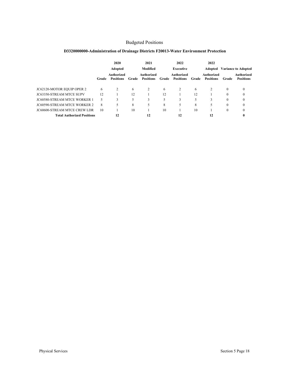## Budgeted Positions

|                                     |       | 2020                                  |       | 2021                           |       | 2022                                  |       | 2022                           |          |                                |
|-------------------------------------|-------|---------------------------------------|-------|--------------------------------|-------|---------------------------------------|-------|--------------------------------|----------|--------------------------------|
|                                     |       | Adopted                               |       | Modified                       |       | <b>Executive</b>                      |       | Adopted                        |          | <b>Variance to Adopted</b>     |
|                                     | Grade | <b>Authorized</b><br><b>Positions</b> | Grade | Authorized<br><b>Positions</b> | Grade | <b>Authorized</b><br><b>Positions</b> | Grade | Authorized<br><b>Positions</b> | Grade    | Authorized<br><b>Positions</b> |
| JC62120-MOTOR EQUIP OPER 2          | 6     |                                       | 6     |                                | 6     | $\overline{c}$                        | 6     | $\overline{c}$                 | $\theta$ | $\mathbf{0}$                   |
| <b>JC63350-STREAM MTCE SUPV</b>     | 12    |                                       | 12    |                                | 12    |                                       | 12    |                                | 0        | $\theta$                       |
| <b>JC60580-STREAM MTCE WORKER 1</b> | 5     | 3                                     | 5     | 3                              |       | 3                                     |       |                                | 0        | $\mathbf{0}$                   |
| <b>JC60590-STREAM MTCE WORKER 2</b> | 8     |                                       | 8     | 5                              | 8     | 5                                     | 8     | 5                              | 0        | $\mathbf{0}$                   |
| <b>JC60600-STREAM MTCE CREW LDR</b> | 10    |                                       | 10    |                                | 10    |                                       | 10    |                                | $\theta$ | $\theta$                       |
| <b>Total Authorized Positions</b>   |       | 12                                    |       | 12                             |       | 12                                    |       | 12                             |          | 0                              |

## **D3320000000-Administration of Drainage Districts F20013-Water Environment Protection**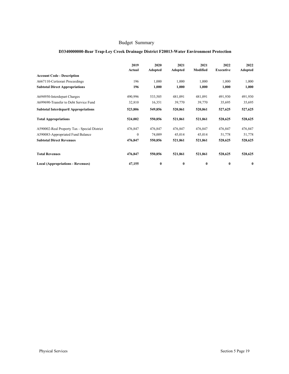## **D3340000000-Bear Trap-Ley Creek Drainage District F20013-Water Environment Protection**

|                                              | 2019<br>Actual | 2020<br>Adopted | 2021<br>Adopted | 2021<br>Modified | 2022<br><b>Executive</b> | 2022<br>Adopted |
|----------------------------------------------|----------------|-----------------|-----------------|------------------|--------------------------|-----------------|
| <b>Account Code - Description</b>            |                |                 |                 |                  |                          |                 |
| A667110-Certiorari Proceedings               | 196            | 1,000           | 1,000           | 1,000            | 1,000                    | 1,000           |
| <b>Subtotal Direct Appropriations</b>        | 196            | 1,000           | 1,000           | 1,000            | 1,000                    | 1,000           |
| A694950-Interdepart Charges                  | 490,996        | 533,505         | 481,091         | 481,091          | 491,930                  | 491,930         |
| A699690-Transfer to Debt Service Fund        | 32,810         | 16,351          | 39,770          | 39,770           | 35,695                   | 35,695          |
| <b>Subtotal Interdepartl Appropriations</b>  | 523,806        | 549,856         | 520,861         | 520,861          | 527,625                  | 527,625         |
| <b>Total Appropriations</b>                  | 524,002        | 550,856         | 521,861         | 521,861          | 528,625                  | 528,625         |
| A590002-Real Property Tax - Special District | 476,847        | 476,847         | 476,847         | 476,847          | 476,847                  | 476,847         |
| A590083-Appropriated Fund Balance            | $\mathbf{0}$   | 74,009          | 45,014          | 45,014           | 51,778                   | 51,778          |
| <b>Subtotal Direct Revenues</b>              | 476,847        | 550,856         | 521,861         | 521,861          | 528,625                  | 528,625         |
| <b>Total Revenues</b>                        | 476,847        | 550,856         | 521,861         | 521,861          | 528,625                  | 528,625         |
| <b>Local (Appropriations - Revenues)</b>     | 47,155         | $\bf{0}$        | $\bf{0}$        | $\bf{0}$         | $\bf{0}$                 | 0               |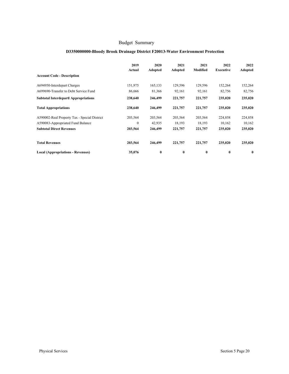## **D3350000000-Bloody Brook Drainage District F20013-Water Environment Protection**

|                                              | 2019<br>Actual | 2020<br>Adopted | 2021<br>Adopted | 2021<br>Modified | 2022<br>Executive | 2022<br>Adopted |
|----------------------------------------------|----------------|-----------------|-----------------|------------------|-------------------|-----------------|
| <b>Account Code - Description</b>            |                |                 |                 |                  |                   |                 |
| A694950-Interdepart Charges                  | 151,975        | 165,133         | 129,596         | 129,596          | 152,264           | 152,264         |
| A699690-Transfer to Debt Service Fund        | 86,666         | 81,366          | 92,161          | 92,161           | 82,756            | 82,756          |
| <b>Subtotal Interdepartl Appropriations</b>  | 238,640        | 246,499         | 221,757         | 221,757          | 235,020           | 235,020         |
| <b>Total Appropriations</b>                  | 238,640        | 246,499         | 221,757         | 221,757          | 235,020           | 235,020         |
| A590002-Real Property Tax - Special District | 203,564        | 203,564         | 203,564         | 203,564          | 224,858           | 224,858         |
| A590083-Appropriated Fund Balance            | $\mathbf{0}$   | 42,935          | 18,193          | 18,193           | 10,162            | 10,162          |
| <b>Subtotal Direct Revenues</b>              | 203,564        | 246,499         | 221,757         | 221,757          | 235,020           | 235,020         |
| <b>Total Revenues</b>                        | 203,564        | 246,499         | 221,757         | 221,757          | 235,020           | 235,020         |
| <b>Local (Appropriations - Revenues)</b>     | 35,076         | $\bf{0}$        | 0               | $\bf{0}$         | $\bf{0}$          | 0               |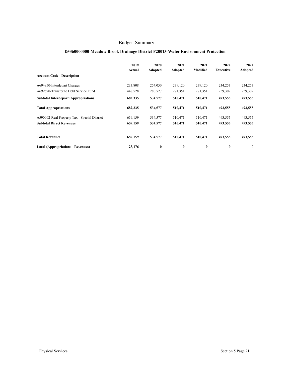## **D3360000000-Meadow Brook Drainage District F20013-Water Environment Protection**

|                                              | 2019<br>Actual | 2020<br>Adopted | 2021<br>Adopted | 2021<br>Modified | 2022<br>Executive | 2022<br>Adopted |
|----------------------------------------------|----------------|-----------------|-----------------|------------------|-------------------|-----------------|
| <b>Account Code - Description</b>            |                |                 |                 |                  |                   |                 |
| A694950-Interdepart Charges                  | 233,808        | 254,050         | 239,120         | 239,120          | 234,253           | 234,253         |
| A699690-Transfer to Debt Service Fund        | 448,528        | 280,527         | 271,351         | 271,351          | 259,302           | 259,302         |
| <b>Subtotal Interdepartl Appropriations</b>  | 682,335        | 534,577         | 510,471         | 510,471          | 493,555           | 493,555         |
| <b>Total Appropriations</b>                  | 682,335        | 534,577         | 510,471         | 510,471          | 493,555           | 493,555         |
| A590002-Real Property Tax - Special District | 659,159        | 534,577         | 510,471         | 510,471          | 493,555           | 493,555         |
| <b>Subtotal Direct Revenues</b>              | 659,159        | 534,577         | 510,471         | 510,471          | 493,555           | 493,555         |
| <b>Total Revenues</b>                        | 659,159        | 534,577         | 510,471         | 510,471          | 493,555           | 493,555         |
| <b>Local (Appropriations - Revenues)</b>     | 23,176         | $\bf{0}$        | $\bf{0}$        | $\bf{0}$         | $\bf{0}$          | $\bf{0}$        |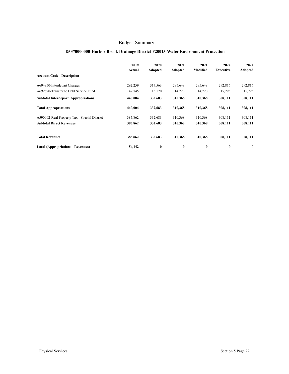## **D3370000000-Harbor Brook Drainage District F20013-Water Environment Protection**

|                                              | 2019<br>Actual | 2020<br>Adopted | 2021<br>Adopted | 2021<br>Modified | 2022<br>Executive | 2022<br>Adopted |
|----------------------------------------------|----------------|-----------------|-----------------|------------------|-------------------|-----------------|
| <b>Account Code - Description</b>            |                |                 |                 |                  |                   |                 |
| A694950-Interdepart Charges                  | 292,259        | 317,563         | 295,648         | 295,648          | 292,816           | 292,816         |
| A699690-Transfer to Debt Service Fund        | 147,745        | 15,120          | 14,720          | 14,720           | 15,295            | 15,295          |
| <b>Subtotal Interdepartl Appropriations</b>  | 440,004        | 332,683         | 310,368         | 310,368          | 308,111           | 308,111         |
| <b>Total Appropriations</b>                  | 440,004        | 332,683         | 310,368         | 310,368          | 308,111           | 308,111         |
| A590002-Real Property Tax - Special District | 385,862        | 332,683         | 310,368         | 310,368          | 308,111           | 308,111         |
| <b>Subtotal Direct Revenues</b>              | 385,862        | 332,683         | 310,368         | 310,368          | 308,111           | 308,111         |
| <b>Total Revenues</b>                        | 385,862        | 332,683         | 310,368         | 310,368          | 308,111           | 308,111         |
| <b>Local (Appropriations - Revenues)</b>     | 54,142         | $\bf{0}$        | $\bf{0}$        | $\bf{0}$         | $\bf{0}$          | $\bf{0}$        |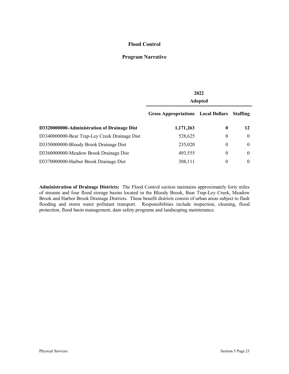## **Flood Control**

## **Program Narrative**

|                                               | 2022<br><b>Adopted</b>                    |                  |                 |  |  |  |
|-----------------------------------------------|-------------------------------------------|------------------|-----------------|--|--|--|
|                                               | <b>Gross Appropriations</b> Local Dollars |                  | <b>Staffing</b> |  |  |  |
| D3320000000-Administration of Drainage Dist   | 1,171,263                                 | $\mathbf{0}$     | 12              |  |  |  |
| D3340000000-Bear Trap-Ley Creek Drainage Dist | 528,625                                   | $\mathbf{0}$     | $\theta$        |  |  |  |
| D3350000000-Bloody Brook Drainage Dist        | 235,020                                   | $\theta$         | $\theta$        |  |  |  |
| D3360000000-Meadow Brook Drainage Dist        | 493,555                                   | $\theta$         | $\theta$        |  |  |  |
| D3370000000-Harbor Brook Drainage Dist        | 308,111                                   | $\boldsymbol{0}$ | $\theta$        |  |  |  |

**Administration of Drainage Districts:** The Flood Control section maintains approximately forty miles of streams and four flood storage basins located in the Bloody Brook, Bear Trap-Ley Creek, Meadow Brook and Harbor Brook Drainage Districts. These benefit districts consist of urban areas subject to flash flooding and storm water pollutant transport. Responsibilities include inspection, cleaning, flood protection, flood basin management, dam safety programs and landscaping maintenance.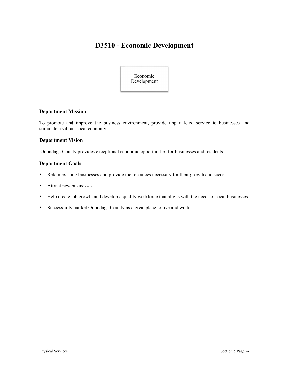# **D3510 - Economic Development**



## **Department Mission**

To promote and improve the business environment, provide unparalleled service to businesses and stimulate a vibrant local economy

#### **Department Vision**

Onondaga County provides exceptional economic opportunities for businesses and residents

#### **Department Goals**

- Retain existing businesses and provide the resources necessary for their growth and success
- Attract new businesses
- Help create job growth and develop a quality workforce that aligns with the needs of local businesses
- § Successfully market Onondaga County as a great place to live and work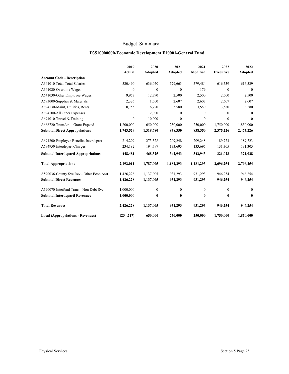#### **D3510000000-Economic Development F10001-General Fund**

|                                             | 2019         | 2020         | 2021             | 2021             | 2022             | 2022         |
|---------------------------------------------|--------------|--------------|------------------|------------------|------------------|--------------|
|                                             | Actual       | Adopted      | Adopted          | Modified         | <b>Executive</b> | Adopted      |
| <b>Account Code - Description</b>           |              |              |                  |                  |                  |              |
| A641010 Total-Total Salaries                | 520,490      | 636,070      | 579,663          | 579,484          | 616,539          | 616,539      |
| A641020-Overtime Wages                      | $\mathbf{0}$ | $\mathbf{0}$ | $\mathbf{0}$     | 179              | $\theta$         | $\mathbf{0}$ |
| A641030-Other Employee Wages                | 9.957        | 12,390       | 2,500            | 2,500            | 2,500            | 2,500        |
| A693000-Supplies & Materials                | 2,326        | 1,500        | 2,607            | 2,607            | 2,607            | 2,607        |
| A694130-Maint, Utilities, Rents             | 10,755       | 6,720        | 3,580            | 3,580            | 3,580            | 3,580        |
| A694100-All Other Expenses                  | $\mathbf{0}$ | 2,000        | $\boldsymbol{0}$ | $\mathbf{0}$     | $\Omega$         | $\mathbf{0}$ |
| A694010-Travel & Training                   | $\mathbf{0}$ | 10,000       | $\mathbf{0}$     | $\boldsymbol{0}$ | $\mathbf{0}$     | $\mathbf{0}$ |
| A668720-Transfer to Grant Expend            | 1,200,000    | 650,000      | 250,000          | 250,000          | 1,750,000        | 1,850,000    |
| <b>Subtotal Direct Appropriations</b>       | 1,743,529    | 1,318,680    | 838,350          | 838,350          | 2,375,226        | 2,475,226    |
| A691200-Employee Benefits-Interdepart       | 214,299      | 273,528      | 209,248          | 209,248          | 189,723          | 189,723      |
| A694950-Interdepart Charges                 | 234,182      | 194,797      | 133,695          | 133,695          | 131,305          | 131,305      |
| <b>Subtotal Interdepartl Appropriations</b> | 448,481      | 468,325      | 342,943          | 342,943          | 321,028          | 321,028      |
| <b>Total Appropriations</b>                 | 2,192,011    | 1,787,005    | 1,181,293        | 1,181,293        | 2,696,254        | 2,796,254    |
| A590036-County Svc Rev - Other Econ Asst    | 1,426,228    | 1,137,005    | 931,293          | 931,293          | 946,254          | 946,254      |
| <b>Subtotal Direct Revenues</b>             | 1,426,228    | 1,137,005    | 931,293          | 931,293          | 946,254          | 946,254      |
| A590070-Interfund Trans - Non Debt Svc      | 1,000,000    | $\mathbf{0}$ | $\boldsymbol{0}$ | $\boldsymbol{0}$ | $\theta$         | $\mathbf{0}$ |
| <b>Subtotal Interdepartl Revenues</b>       | 1,000,000    | 0            | $\bf{0}$         | $\bf{0}$         | $\bf{0}$         | $\bf{0}$     |
| <b>Total Revenues</b>                       | 2,426,228    | 1,137,005    | 931,293          | 931,293          | 946,254          | 946,254      |
| <b>Local (Appropriations - Revenues)</b>    | (234, 217)   | 650,000      | 250,000          | 250,000          | 1,750,000        | 1,850,000    |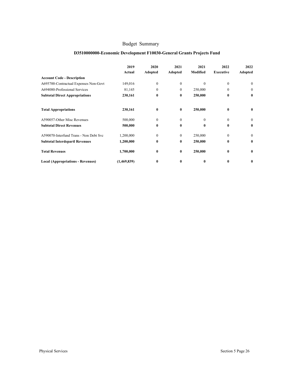## **D3510000000-Economic Development F10030-General Grants Projects Fund**

|                                          | 2019<br>Actual | 2020<br><b>Adopted</b> | 2021<br>Adopted | 2021<br><b>Modified</b> | 2022<br><b>Executive</b> | 2022<br>Adopted |
|------------------------------------------|----------------|------------------------|-----------------|-------------------------|--------------------------|-----------------|
| <b>Account Code - Description</b>        |                |                        |                 |                         |                          |                 |
| A695700-Contractual Expenses Non-Govt    | 149,016        | $\mathbf{0}$           | $\Omega$        | $\Omega$                | $\Omega$                 | $\theta$        |
| A694080-Professional Services            | 81,145         | $\Omega$               | 0               | 250,000                 | $\Omega$                 | $\mathbf{0}$    |
| <b>Subtotal Direct Appropriations</b>    | 230,161        | $\bf{0}$               | 0               | 250,000                 | $\bf{0}$                 | $\bf{0}$        |
| <b>Total Appropriations</b>              | 230,161        | $\bf{0}$               | 0               | 250,000                 | $\mathbf{0}$             | $\bf{0}$        |
| A590057-Other Misc Revenues              | 500,000        | $\mathbf{0}$           | $\Omega$        | $\Omega$                | $\theta$                 | $\mathbf{0}$    |
| <b>Subtotal Direct Revenues</b>          | 500,000        | $\bf{0}$               | 0               | $\mathbf{0}$            | $\mathbf{0}$             | $\bf{0}$        |
| A590070-Interfund Trans - Non Debt Svc   | 1,200,000      | $\mathbf{0}$           | $\theta$        | 250,000                 | $\theta$                 | $\mathbf{0}$    |
| <b>Subtotal Interdepartl Revenues</b>    | 1,200,000      | $\mathbf{0}$           | 0               | 250,000                 | $\mathbf{0}$             | $\mathbf{0}$    |
| <b>Total Revenues</b>                    | 1,700,000      | $\bf{0}$               | $\bf{0}$        | 250,000                 | $\bf{0}$                 | $\bf{0}$        |
| <b>Local (Appropriations - Revenues)</b> | (1,469,839)    | $\mathbf{0}$           | 0               | 0                       | $\mathbf{0}$             | $\bf{0}$        |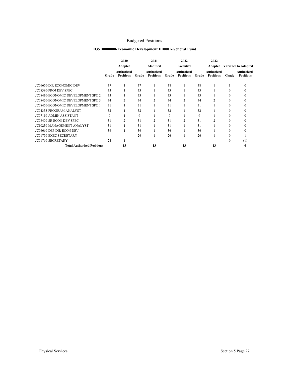## Budgeted Positions

#### **D3510000000-Economic Development F10001-General Fund**

|                                           |       | 2020                           |       | 2021                           |       | 2022                           |       | 2022                           |          |                                |
|-------------------------------------------|-------|--------------------------------|-------|--------------------------------|-------|--------------------------------|-------|--------------------------------|----------|--------------------------------|
|                                           |       | <b>Adopted</b>                 |       | Modified                       |       | <b>Executive</b>               |       | Adopted                        |          | <b>Variance to Adopted</b>     |
|                                           | Grade | Authorized<br><b>Positions</b> | Grade | Authorized<br><b>Positions</b> | Grade | Authorized<br><b>Positions</b> | Grade | Authorized<br><b>Positions</b> | Grade    | Authorized<br><b>Positions</b> |
| <b>JC06670-DIR ECONOMIC DEV</b>           | 37    |                                | 37    |                                | 38    |                                | 38    |                                |          | $\Omega$                       |
| JC08380-PROJ DEV SPEC                     | 33    |                                | 33    |                                | 33    |                                | 33    |                                | $\Omega$ | $\Omega$                       |
| <b>JC08410-ECONOMIC DEVELOPMENT SPC 2</b> | 33    |                                | 33    |                                | 33    |                                | 33    |                                | $\Omega$ | $\Omega$                       |
| <b>JC08420-ECONOMIC DEVELOPMENT SPC 3</b> | 34    | $\overline{2}$                 | 34    | 2                              | 34    | $\overline{c}$                 | 34    | $\overline{c}$                 | $\Omega$ | $\Omega$                       |
| <b>JC08450-ECONOMIC DEVELOPMENT SPC 1</b> | 31    |                                | 31    |                                | 31    |                                | 31    |                                | $\theta$ | $\theta$                       |
| <b>JC04333-PROGRAM ANALYST</b>            | 32    |                                | 32    |                                | 32    |                                | 32    |                                | $\theta$ | 0                              |
| <b>JC07110-ADMIN ASSISTANT</b>            | 9     |                                | 9     |                                | 9     |                                | 9     |                                | $\theta$ |                                |
| JC08400-SR ECON DEV SPEC                  | 31    | $\overline{c}$                 | 31    | 2                              | 31    | $\overline{c}$                 | 31    | 2                              | $\theta$ | 0                              |
| JC10230-MANAGEMENT ANALYST                | 31    |                                | 31    |                                | 31    |                                | 31    |                                | $\theta$ | 0                              |
| JC06660-DEP DIR ECON DEV                  | 36    |                                | 36    |                                | 36    |                                | 36    |                                | $\Omega$ | 0                              |
| <b>JC01750-EXEC SECRETARY</b>             |       |                                | 26    |                                | 26    |                                | 26    |                                | $\theta$ |                                |
| JC01760-SECRETARY                         | 24    |                                |       |                                |       |                                |       |                                | $\theta$ | (1)                            |
| <b>Total Authorized Positions</b>         |       | 13                             |       | 13                             |       | 13                             |       | 13                             |          | 0                              |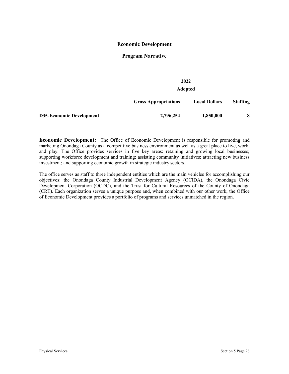#### **Economic Development**

#### **Program Narrative**

|                                 |                             | 2022<br><b>Adopted</b> |                 |  |  |  |  |
|---------------------------------|-----------------------------|------------------------|-----------------|--|--|--|--|
|                                 | <b>Gross Appropriations</b> | <b>Local Dollars</b>   | <b>Staffing</b> |  |  |  |  |
| <b>D35-Economic Development</b> | 2,796,254                   | 1,850,000              | 8               |  |  |  |  |

**Economic Development:** The Office of Economic Development is responsible for promoting and marketing Onondaga County as a competitive business environment as well as a great place to live, work, and play. The Office provides services in five key areas: retaining and growing local businesses; supporting workforce development and training; assisting community initiatives; attracting new business investment; and supporting economic growth in strategic industry sectors.

The office serves as staff to three independent entities which are the main vehicles for accomplishing our objectives: the Onondaga County Industrial Development Agency (OCIDA), the Onondaga Civic Development Corporation (OCDC), and the Trust for Cultural Resources of the County of Onondaga (CRT). Each organization serves a unique purpose and, when combined with our other work, the Office of Economic Development provides a portfolio of programs and services unmatched in the region.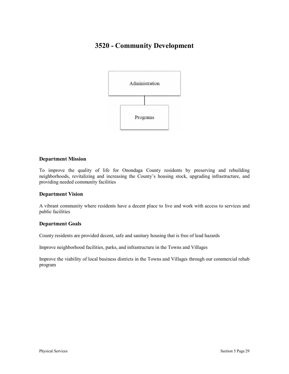# **3520 - Community Development**



#### **Department Mission**

To improve the quality of life for Onondaga County residents by preserving and rebuilding neighborhoods, revitalizing and increasing the County's housing stock, upgrading infrastructure, and providing needed community facilities

#### **Department Vision**

A vibrant community where residents have a decent place to live and work with access to services and public facilities

## **Department Goals**

County residents are provided decent, safe and sanitary housing that is free of lead hazards

Improve neighborhood facilities, parks, and infrastructure in the Towns and Villages

Improve the viability of local business districts in the Towns and Villages through our commercial rehab program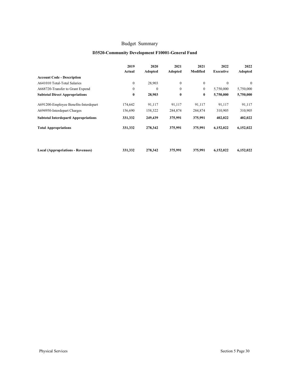#### **D3520-Community Development F10001-General Fund**

|                                             | 2019<br>Actual | 2020<br><b>Adopted</b> | 2021<br>Adopted | 2021<br>Modified | 2022<br>Executive | 2022<br>Adopted |
|---------------------------------------------|----------------|------------------------|-----------------|------------------|-------------------|-----------------|
| <b>Account Code - Description</b>           |                |                        |                 |                  |                   |                 |
| A641010 Total-Total Salaries                | $\mathbf{0}$   | 28,903                 | $\mathbf{0}$    | $\mathbf{0}$     | $\mathbf{0}$      | $\Omega$        |
| A668720-Transfer to Grant Expend            | $\mathbf{0}$   | $\theta$               | $\mathbf{0}$    | $\mathbf{0}$     | 5,750,000         | 5,750,000       |
| <b>Subtotal Direct Appropriations</b>       | $\bf{0}$       | 28,903                 | $\bf{0}$        | $\bf{0}$         | 5,750,000         | 5,750,000       |
| A691200-Employee Benefits-Interdepart       | 174,642        | 91,117                 | 91,117          | 91,117           | 91,117            | 91,117          |
| A694950-Interdepart Charges                 | 156,690        | 158,322                | 284,874         | 284,874          | 310,905           | 310,905         |
| <b>Subtotal Interdepartl Appropriations</b> | 331,332        | 249,439                | 375,991         | 375,991          | 402,022           | 402,022         |
| <b>Total Appropriations</b>                 | 331,332        | 278,342                | 375,991         | 375,991          | 6,152,022         | 6,152,022       |
|                                             |                |                        |                 |                  |                   |                 |
| Local (Appropriations - Revenues)           | 331,332        | 278,342                | 375,991         | 375,991          | 6,152,022         | 6,152,022       |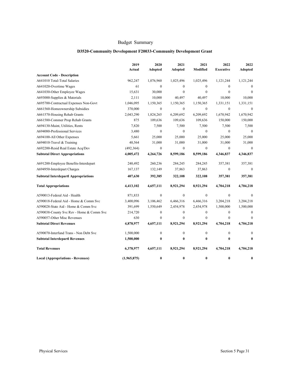#### **D3520-Community Development F20033-Community Development Grant**

|                                             | 2019<br>Actual | 2020<br><b>Adopted</b> | 2021<br>Adopted  | 2021<br>Modified | 2022<br><b>Executive</b> | 2022<br><b>Adopted</b> |
|---------------------------------------------|----------------|------------------------|------------------|------------------|--------------------------|------------------------|
| <b>Account Code - Description</b>           |                |                        |                  |                  |                          |                        |
| A641010 Total-Total Salaries                | 962,247        | 1,076,960              | 1,025,496        | 1,025,496        | 1,121,244                | 1,121,244              |
| A641020-Overtime Wages                      | 61             | $\mathbf{0}$           | $\Omega$         | $\Omega$         | $\mathbf{0}$             | $\theta$               |
| A641030-Other Employee Wages                | 15,631         | 30,000                 | $\theta$         | $\mathbf{0}$     | $\mathbf{0}$             | $\Omega$               |
| A693000-Supplies & Materials                | 2,111          | 10,000                 | 40,497           | 40,497           | 10,000                   | 10,000                 |
| A695700-Contractual Expenses Non-Govt       | 1,046,095      | 1,150,365              | 1,150,365        | 1,150,365        | 1,331,151                | 1,331,151              |
| A661560-Homeownership Subsidies             | 370,000        | $\boldsymbol{0}$       | $\boldsymbol{0}$ | $\boldsymbol{0}$ | $\boldsymbol{0}$         | $\boldsymbol{0}$       |
| A661570-Housing Rehab Grants                | 2,043,290      | 1,824,265              | 6,209,692        | 6,209,692        | 1,670,942                | 1,670,942              |
| A661580-Commer Prop Rehab Grants            | 875            | 109,636                | 109,636          | 109,636          | 150,000                  | 150,000                |
| A694130-Maint, Utilities, Rents             | 7,820          | 7,500                  | 7,500            | 7,500            | 7,500                    | 7,500                  |
| A694080-Professional Services               | 3,480          | $\mathbf{0}$           | $\mathbf{0}$     | $\mathbf{0}$     | $\mathbf{0}$             | $\mathbf{0}$           |
| A694100-All Other Expenses                  | 5,661          | 25,000                 | 25,000           | 25,000           | 25,000                   | 25,000                 |
| A694010-Travel & Training                   | 40,564         | 31,000                 | 31,000           | 31,000           | 31,000                   | 31,000                 |
| A692200-Resid Real Estate Acq/Dev           | (492, 364)     | $\boldsymbol{0}$       | $\mathbf{0}$     | $\boldsymbol{0}$ | $\boldsymbol{0}$         | $\mathbf{0}$           |
| <b>Subtotal Direct Appropriations</b>       | 4,005,472      | 4,264,726              | 8,599,186        | 8,599,186        | 4,346,837                | 4,346,837              |
| A691200-Employee Benefits-Interdepart       | 240,492        | 260,236                | 284,245          | 284,245          | 357,381                  | 357,381                |
| A694950-Interdepart Charges                 | 167,137        | 132,149                | 37,863           | 37,863           | $\mathbf{0}$             | $\theta$               |
| <b>Subtotal Interdepartl Appropriations</b> | 407,630        | 392,385                | 322,108          | 322,108          | 357,381                  | 357,381                |
| <b>Total Appropriations</b>                 | 4,413,102      | 4,657,111              | 8,921,294        | 8,921,294        | 4,704,218                | 4,704,218              |
| A590013-Federal Aid - Health                | 871,833        | $\mathbf{0}$           | $\mathbf{0}$     | $\mathbf{0}$     | $\mathbf{0}$             | $\mathbf{0}$           |
| A590018-Federal Aid - Home & Comm Svc       | 3,400,096      | 3,106,462              | 6,466,316        | 6,466,316        | 3,204,218                | 3,204,218              |
| A590028-State Aid - Home & Comm Svc         | 391,699        | 1,550,649              | 2,454,978        | 2,454,978        | 1,500,000                | 1,500,000              |
| A590038-County Svc Rev - Home & Comm Svc    | 214,720        | $\boldsymbol{0}$       | $\boldsymbol{0}$ | $\boldsymbol{0}$ | $\boldsymbol{0}$         | $\mathbf{0}$           |
| A590057-Other Misc Revenues                 | 630            | $\mathbf{0}$           | $\theta$         | $\mathbf{0}$     | $\mathbf{0}$             | $\mathbf{0}$           |
| <b>Subtotal Direct Revenues</b>             | 4,878,977      | 4,657,111              | 8,921,294        | 8,921,294        | 4,704,218                | 4,704,218              |
| A590070-Interfund Trans - Non Debt Svc      | 1,500,000      | $\mathbf{0}$           | $\mathbf{0}$     | $\mathbf{0}$     | $\mathbf{0}$             | $\mathbf{0}$           |
| <b>Subtotal Interdepartl Revenues</b>       | 1,500,000      | $\bf{0}$               | $\bf{0}$         | 0                | $\bf{0}$                 | $\mathbf{0}$           |
| <b>Total Revenues</b>                       | 6,378,977      | 4,657,111              | 8,921,294        | 8,921,294        | 4,704,218                | 4,704,218              |
| <b>Local (Appropriations - Revenues)</b>    | (1,965,875)    | $\bf{0}$               | $\bf{0}$         | 0                | $\bf{0}$                 | 0                      |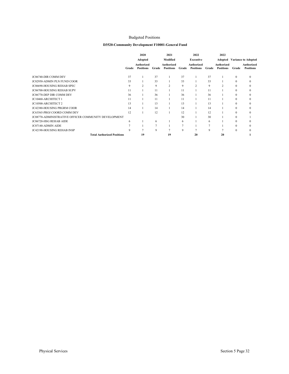#### Budgeted Positions

#### **D3520-Community Development F10001-General Fund**

|                                                             |       | 2020                           |       | 2021                           |       | 2022                           |                 | 2022                           |              |                                |
|-------------------------------------------------------------|-------|--------------------------------|-------|--------------------------------|-------|--------------------------------|-----------------|--------------------------------|--------------|--------------------------------|
|                                                             |       | Adopted                        |       | Modified                       |       | Executive                      |                 | Adopted                        |              | <b>Variance to Adopted</b>     |
|                                                             | Grade | Authorized<br><b>Positions</b> | Grade | Authorized<br><b>Positions</b> | Grade | Authorized<br><b>Positions</b> | Grade           | Authorized<br><b>Positions</b> | Grade        | Authorized<br><b>Positions</b> |
|                                                             |       |                                |       |                                |       |                                |                 |                                |              |                                |
| JC06740-DIR COMM DEV                                        | 37    |                                | 37    |                                | 37    |                                | 37              |                                | $\mathbf{0}$ | $\Omega$                       |
| JC02950-ADMIN PLN FUND COOR                                 | 33    |                                | 33    |                                | 33    |                                | 33              |                                | $\mathbf{0}$ | $\Omega$                       |
| JC06690-HOUSING REHAB SPEC                                  | 9     | $\overline{c}$                 | 9     | $\overline{c}$                 | 9     | $\overline{2}$                 | 9               | $\overline{\mathbf{c}}$        | $\mathbf{0}$ |                                |
| <b>JC06700-HOUSING REHAB SUPV</b>                           | 11    |                                | 11    |                                | 11    |                                | 11              |                                | $\mathbf{0}$ |                                |
| JC06770-DEP DIR COMM DEV                                    | 36    |                                | 36    |                                | 36    |                                | 36              |                                | $\mathbf{0}$ |                                |
| JC10460-ARCHITECT 1                                         | 11    |                                | 11    |                                | 11    |                                | 11              |                                | $\mathbf{0}$ |                                |
| JC10500-ARCHITECT 2                                         | 13    |                                | 13    |                                | 13    |                                | 13              |                                | $\mathbf{0}$ |                                |
| JC42380-HOUSING PRGRM COOR                                  | 14    |                                | 14    |                                | 14    |                                | 14              |                                | $\mathbf{0}$ |                                |
| JC63565-PROJ COORD COMM DEV                                 | 12    |                                | 12    |                                | 12    |                                | 12              |                                | $\mathbf{0}$ |                                |
| <b>JC08770-ADMINISTRATIVE OFFICER COMMUNITY DEVELOPMENT</b> |       |                                |       |                                | 30    |                                | 30              |                                | $\theta$     |                                |
| JC06720-HSG REHAB AIDE                                      | 6     |                                | 6     |                                | 6     |                                | 6               |                                | $\theta$     |                                |
| JC07140-ADMIN AIDE                                          |       |                                |       |                                | 7     |                                | $\mathbf{\tau}$ |                                | $\theta$     |                                |
| JC42190-HOUSING REHAB INSP                                  | 9     | $\overline{a}$                 | 9     | o                              | 9     |                                | 9               |                                | $\theta$     |                                |
| <b>Total Authorized Positions</b>                           |       | 19                             |       | 19                             |       | 20                             |                 | 20                             |              |                                |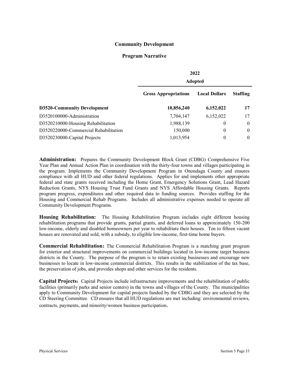## **Community Development**

#### **Program Narrative**

|                                       |                             | 2022<br><b>Adopted</b> |                 |  |  |  |  |
|---------------------------------------|-----------------------------|------------------------|-----------------|--|--|--|--|
|                                       | <b>Gross Appropriations</b> | <b>Local Dollars</b>   | <b>Staffing</b> |  |  |  |  |
| <b>D3520-Community Development</b>    | 10,856,240                  | 6,152,022              | 17              |  |  |  |  |
| D3520100000-Administration            | 7,704,147                   | 6,152,022              | 17              |  |  |  |  |
| D3520210000-Housing Rehabilitation    | 1,988,139                   | $\theta$               | $\theta$        |  |  |  |  |
| D3520220000-Commercial Rehabilitation | 150,000                     | $\theta$               | $\theta$        |  |  |  |  |
| D3520230000-Capital Projects          | 1,013,954                   | $\theta$               | $\theta$        |  |  |  |  |

**Administration:** Prepares the Community Development Block Grant (CDBG) Comprehensive Five Year Plan and Annual Action Plan in coordination with the thirty-four towns and villages participating in the program. Implements the Community Development Program in Onondaga County and ensures compliance with all HUD and other federal regulations. Applies for and implements other appropriate federal and state grants received including the Home Grant, Emergency Solutions Grant, Lead Hazard Reduction Grants, NYS Housing Trust Fund Grants and NYS Affordable Housing Grants. Reports program progress, expenditures and other required data to funding sources. Provides staffing for the Housing and Commercial Rehab Programs. Includes all administrative expenses needed to operate all Community Development Programs.

**Housing Rehabilitation:** The Housing Rehabilitation Program includes eight different housing rehabilitation programs that provide grants, partial grants, and deferred loans to approximately 150-200 low-income, elderly and disabled homeowners per year to rehabilitate their houses. Ten to fifteen vacant houses are renovated and sold, with a subsidy, to eligible low-income, first-time home buyers.

**Commercial Rehabilitation:** The Commercial Rehabilitation Program is a matching grant program for exterior and structural improvements on commercial buildings located in low-income target business districts in the County. The purpose of the program is to retain existing businesses and encourage new businesses to locate in low-income commercial districts. This results in the stabilization of the tax base, the preservation of jobs, and provides shops and other services for the residents.

**Capital Projects**: Capital Projects include infrastructure improvements and the rehabilitation of public facilities (primarily parks and senior centers) in the towns and villages of the County. The municipalities apply to Community Development for capital projects funded by the CDBG and they are selected by the CD Steering Committee. CD ensures that all HUD regulations are met including: environmental reviews, contracts, payments, and minority/women business participation.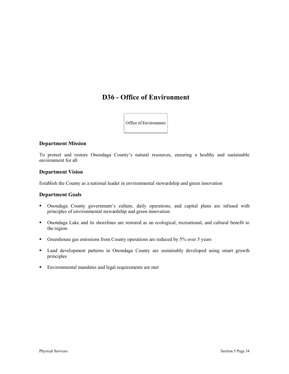# **D36 - Office of Environment**

Office of Environment

## **Department Mission**

To protect and restore Onondaga County's natural resources, ensuring a healthy and sustainable environment for all

#### **Department Vision**

Establish the County as a national leader in environmental stewardship and green innovation

#### **Department Goals**

- § Onondaga County government's culture, daily operations, and capital plans are infused with principles of environmental stewardship and green innovation
- § Onondaga Lake and its shorelines are restored as an ecological, recreational, and cultural benefit to the region
- **•** Greenhouse gas emissions from County operations are reduced by 5% over 5 years
- Land development patterns in Onondaga County are sustainably developed using smart growth principles
- Environmental mandates and legal requirements are met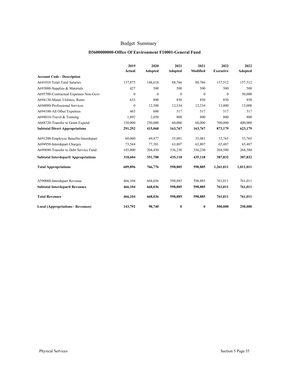## **D3600000000-Office Of Environment F10001-General Fund**

|                                             | 2019<br>Actual   | 2020<br><b>Adopted</b> | 2021<br>Adopted | 2021<br>Modified | 2022<br><b>Executive</b> | 2022<br>Adopted |
|---------------------------------------------|------------------|------------------------|-----------------|------------------|--------------------------|-----------------|
| <b>Account Code - Description</b>           |                  |                        |                 |                  |                          |                 |
| A641010 Total-Total Salaries                | 137,875          | 148,618                | 88,766          | 88,766           | 157,512                  | 157,512         |
| A693000-Supplies & Materials                | 427              | 500                    | 500             | 500              | 500                      | 500             |
| A695700-Contractual Expenses Non-Govt       | $\mathbf{0}$     | $\mathbf{0}$           | $\mathbf{0}$    | $\mathbf{0}$     | $\mathbf{0}$             | 50,000          |
| A694130-Maint, Utilities, Rents             | 633              | 800                    | 850             | 850              | 850                      | 850             |
| A694080-Professional Services               | $\boldsymbol{0}$ | 12,500                 | 12,334          | 12,334           | 13,000                   | 13,000          |
| A694100-All Other Expenses                  | 465              | 600                    | 517             | 517              | 517                      | 517             |
| A694010-Travel & Training                   | 1,892            | 2,050                  | 800             | 800              | 800                      | 800             |
| A668720-Transfer to Grant Expend            | 150,000          | 250,000                | 60,000          | 60,000           | 700,000                  | 400,000         |
| <b>Subtotal Direct Appropriations</b>       | 291,292          | 415,068                | 163,767         | 163,767          | 873,179                  | 623,179         |
| A691200-Employee Benefits-Interdepart       | 60,060           | 69,877                 | 35,081          | 35,081           | 53,765                   | 53,765          |
| A694950-Interdepart Charges                 | 73,544           | 77,381                 | 63,807          | 63,807           | 65,487                   | 65,487          |
| A699690-Transfer to Debt Service Fund       | 185,000          | 204,450                | 336,230         | 336,230          | 268,580                  | 268,580         |
| <b>Subtotal Interdepartl Appropriations</b> | 318,604          | 351,708                | 435,118         | 435,118          | 387,832                  | 387,832         |
| <b>Total Appropriations</b>                 | 609,896          | 766,776                | 598,885         | 598,885          | 1,261,011                | 1,011,011       |
| A590060-Interdepart Revenue                 | 466,104          | 668,036                | 598,885         | 598,885          | 761,011                  | 761,011         |
| <b>Subtotal Interdepartl Revenues</b>       | 466,104          | 668,036                | 598,885         | 598,885          | 761,011                  | 761,011         |
| <b>Total Revenues</b>                       | 466,104          | 668,036                | 598,885         | 598,885          | 761,011                  | 761,011         |
| <b>Local (Appropriations - Revenues)</b>    | 143,792          | 98,740                 | $\bf{0}$        | $\bf{0}$         | 500,000                  | 250,000         |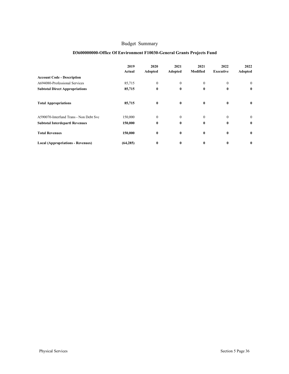## **D3600000000-Office Of Environment F10030-General Grants Projects Fund**

|                                          | 2019<br>Actual | 2020<br>Adopted | 2021<br>Adopted | 2021<br>Modified | 2022<br><b>Executive</b> | 2022<br>Adopted |
|------------------------------------------|----------------|-----------------|-----------------|------------------|--------------------------|-----------------|
| <b>Account Code - Description</b>        |                |                 |                 |                  |                          |                 |
| A694080-Professional Services            | 85,715         | $\mathbf{0}$    | $\mathbf{0}$    | $\mathbf{0}$     | $\mathbf{0}$             | $\mathbf{0}$    |
| <b>Subtotal Direct Appropriations</b>    | 85,715         | $\bf{0}$        | $\bf{0}$        | $\bf{0}$         | $\bf{0}$                 | $\bf{0}$        |
| <b>Total Appropriations</b>              | 85,715         | $\bf{0}$        | $\bf{0}$        | $\bf{0}$         | $\bf{0}$                 | $\bf{0}$        |
| A590070-Interfund Trans - Non Debt Svc   | 150,000        | $\mathbf{0}$    | $\mathbf{0}$    | $\mathbf{0}$     | $\mathbf{0}$             | $\overline{0}$  |
| <b>Subtotal Interdepartl Revenues</b>    | 150,000        | $\bf{0}$        | $\bf{0}$        | $\bf{0}$         | $\mathbf{0}$             | $\bf{0}$        |
| <b>Total Revenues</b>                    | 150,000        | $\bf{0}$        | $\bf{0}$        | $\bf{0}$         | $\bf{0}$                 | $\bf{0}$        |
| <b>Local (Appropriations - Revenues)</b> | (64, 285)      | $\bf{0}$        | $\bf{0}$        | $\bf{0}$         | $\bf{0}$                 | $\bf{0}$        |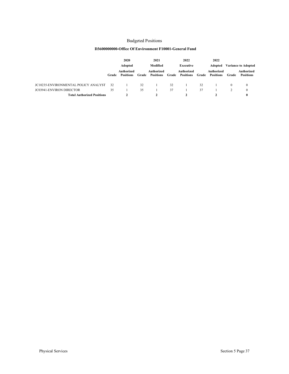#### Budgeted Positions

#### **D3600000000-Office Of Environment F10001-General Fund**

|                                             |       | 2020<br><b>Adopted</b>         |       | 2021<br>Modified               |       | 2022<br><b>Executive</b>       |       | 2022<br>Adopted                | <b>Variance to Adopted</b> |                                |
|---------------------------------------------|-------|--------------------------------|-------|--------------------------------|-------|--------------------------------|-------|--------------------------------|----------------------------|--------------------------------|
|                                             | Grade | Authorized<br><b>Positions</b> | Grade | Authorized<br><b>Positions</b> | Grade | Authorized<br><b>Positions</b> | Grade | Authorized<br><b>Positions</b> | Grade                      | Authorized<br><b>Positions</b> |
| <b>JC10235-ENVIRONMENTAL POLICY ANALYST</b> | 32    |                                | 32    |                                | 32    |                                | 32    |                                |                            | $\mathbf{0}$                   |
| <b>JC03941-ENVIRON DIRECTOR</b>             | 35    |                                | 35    |                                | 37    |                                | 37    |                                |                            | $\mathbf{0}$                   |
| <b>Total Authorized Positions</b>           |       |                                |       |                                |       |                                |       |                                |                            | 0                              |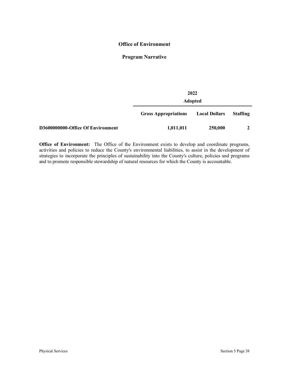## **Office of Environment**

## **Program Narrative**

|                                   | 2022                        |                      |                 |  |  |  |  |  |  |  |
|-----------------------------------|-----------------------------|----------------------|-----------------|--|--|--|--|--|--|--|
|                                   | <b>Adopted</b>              |                      |                 |  |  |  |  |  |  |  |
|                                   | <b>Gross Appropriations</b> | <b>Local Dollars</b> | <b>Staffing</b> |  |  |  |  |  |  |  |
| D3600000000-Office Of Environment | 1,011,011                   | 250,000              |                 |  |  |  |  |  |  |  |

**Office of Environment:** The Office of the Environment exists to develop and coordinate programs, activities and policies to reduce the County's environmental liabilities, to assist in the development of strategies to incorporate the principles of sustainability into the County's culture, policies and programs and to promote responsible stewardship of natural resources for which the County is accountable.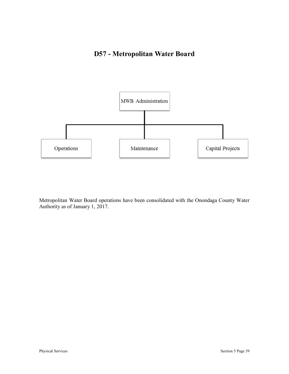# **D57 - Metropolitan Water Board**



Metropolitan Water Board operations have been consolidated with the Onondaga County Water Authority as of January 1, 2017.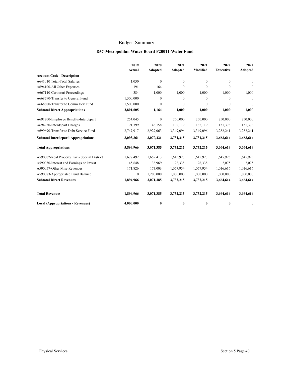## **D57-Metropolitan Water Board F20011-Water Fund**

|                                              | 2019             | 2020           | 2021         | 2021            | 2022             | 2022         |
|----------------------------------------------|------------------|----------------|--------------|-----------------|------------------|--------------|
|                                              | Actual           | <b>Adopted</b> | Adopted      | <b>Modified</b> | <b>Executive</b> | Adopted      |
| <b>Account Code - Description</b>            |                  |                |              |                 |                  |              |
| A641010 Total-Total Salaries                 | 1,030            | $\mathbf{0}$   | $\mathbf{0}$ | $\mathbf{0}$    | $\mathbf{0}$     | $\mathbf{0}$ |
| A694100-All Other Expenses                   | 191              | 164            | $\mathbf{0}$ | $\Omega$        | $\theta$         | $\theta$     |
| A667110-Certiorari Proceedings               | 384              | 1,000          | 1,000        | 1,000           | 1,000            | 1,000        |
| A668790-Transfer to General Fund             | 1,300,000        | $\mathbf{0}$   | $\mathbf{0}$ | $\mathbf{0}$    | $\mathbf{0}$     | $\mathbf{0}$ |
| A668800-Transfer to Comm Dev Fund            | 1,500,000        | $\mathbf{0}$   | $\mathbf{0}$ | $\mathbf{0}$    | $\mathbf{0}$     | $\theta$     |
| <b>Subtotal Direct Appropriations</b>        | 2,801,605        | 1,164          | 1,000        | 1,000           | 1,000            | 1,000        |
| A691200-Employee Benefits-Interdepart        | 254,045          | $\mathbf{0}$   | 250,000      | 250,000         | 250,000          | 250,000      |
| A694950-Interdepart Charges                  | 91,399           | 143,158        | 132,119      | 132,119         | 131,373          | 131,373      |
| A699690-Transfer to Debt Service Fund        | 2,747,917        | 2,927,063      | 3,349,096    | 3,349,096       | 3,282,241        | 3,282,241    |
| <b>Subtotal Interdepartl Appropriations</b>  | 3,093,361        | 3,070,221      | 3,731,215    | 3,731,215       | 3,663,614        | 3,663,614    |
| <b>Total Appropriations</b>                  | 5,894,966        | 3,071,385      | 3,732,215    | 3,732,215       | 3,664,614        | 3,664,614    |
| A590002-Real Property Tax - Special District | 1,677,492        | 1,659,413      | 1,645,923    | 1,645,923       | 1,645,923        | 1,645,923    |
| A590050-Interest and Earnings on Invest      | 45,648           | 38,969         | 28,338       | 28,338          | 2,075            | 2,075        |
| A590057-Other Misc Revenues                  | 171,826          | 173,003        | 1,057,954    | 1,057,954       | 1,016,616        | 1,016,616    |
| A590083-Appropriated Fund Balance            | $\boldsymbol{0}$ | 1,200,000      | 1,000,000    | 1,000,000       | 1,000,000        | 1,000,000    |
| <b>Subtotal Direct Revenues</b>              | 1,894,966        | 3,071,385      | 3,732,215    | 3,732,215       | 3,664,614        | 3,664,614    |
| <b>Total Revenues</b>                        | 1,894,966        | 3,071,385      | 3,732,215    | 3,732,215       | 3,664,614        | 3,664,614    |
| <b>Local (Appropriations - Revenues)</b>     | 4,000,000        | 0              | $\bf{0}$     | $\bf{0}$        | 0                | 0            |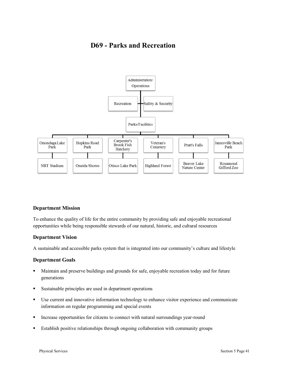# **D69 - Parks and Recreation**



## **Department Mission**

To enhance the quality of life for the entire community by providing safe and enjoyable recreational opportunities while being responsible stewards of our natural, historic, and cultural resources

#### **Department Vision**

A sustainable and accessible parks system that is integrated into our community's culture and lifestyle

#### **Department Goals**

- Maintain and preserve buildings and grounds for safe, enjoyable recreation today and for future generations
- Sustainable principles are used in department operations
- Use current and innovative information technology to enhance visitor experience and communicate information on regular programming and special events
- § Increase opportunities for citizens to connect with natural surroundings year-round
- Establish positive relationships through ongoing collaboration with community groups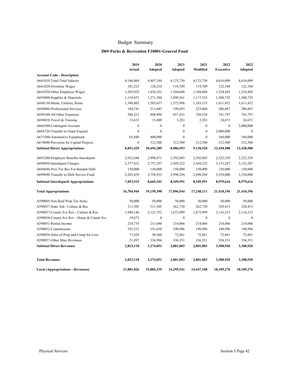## **D69-Parks & Recreation F10001-General Fund**

|                                             | 2019             | 2020             | 2021             | 2021             | 2022             | 2022             |
|---------------------------------------------|------------------|------------------|------------------|------------------|------------------|------------------|
|                                             | Actual           | Adopted          | Adopted          | Modified         | <b>Executive</b> | Adopted          |
| <b>Account Code - Description</b>           |                  |                  |                  |                  |                  |                  |
| A641010 Total-Total Salaries                | 4,146,068        | 4,407,184        | 4,125,730        | 4,125,730        | 4,616,009        | 4,616,009        |
| A641020-Overtime Wages                      | 101,223          | 138,210          | 119,709          | 119,709          | 122,104          | 122,104          |
| A641030-Other Employee Wages                | 1,285,035        | 1,434,101        | 1,104,048        | 1,104,048        | 1,334,445        | 1,334,445        |
| A693000-Supplies & Materials                | 1,119,857        | 1,271,304        | 1,090,561        | 1,117,535        | 1,308,735        | 1,308,735        |
| A694130-Maint, Utilities, Rents             | 1,348,803        | 1,503,657        | 1,373,998        | 1,383,135        | 1,611,452        | 1,611,452        |
| A694080-Professional Services               | 184,741          | 211,043          | 199,693          | 223,060          | 206,867          | 206,867          |
| A694100-All Other Expenses                  | 586,221          | 800,890          | 657,431          | 749,520          | 741,797          | 741,797          |
| A694010-Travel & Training                   | 13,633           | 15,400           | 3,283            | 3,283            | 24,671           | 24,671           |
| A666500-Contingent Account                  | $\boldsymbol{0}$ | $\boldsymbol{0}$ | $\boldsymbol{0}$ | $\boldsymbol{0}$ | $\boldsymbol{0}$ | 2,000,000        |
| A668720-Transfer to Grant Expend            | $\overline{0}$   | $\mathbf{0}$     | $\boldsymbol{0}$ | $\mathbf{0}$     | 2,000,000        | $\boldsymbol{0}$ |
| A671500-Automotive Equipment                | 65,848           | 400,000          | $\mathbf{0}$     | $\overline{0}$   | 160,000          | 160,000          |
| A674600-Provision for Capital Projects      | $\overline{0}$   | 312,500          | 312,500          | 312,500          | 312,500          | 312,500          |
| <b>Subtotal Direct Appropriations</b>       | 8,851,429        | 10,494,289       | 8,986,953        | 9,138,520        | 12,438,580       | 12,438,580       |
| A691200-Employee Benefits-Interdepart       | 2,922,644        | 2,998,871        | 2,392,065        | 2,392,065        | 2,322,329        | 2,322,329        |
| A694950-Interdepart Charges                 | 2,577,432        | 2,757,297        | 2,569,232        | 2,569,232        | 3,153,287        | 3,153,287        |
| A684680-Prov For Res For Bonded Debt        | 150,000          | 150,000          | 150,000          | 150,000          | 150,000          | 150,000          |
| A699690-Transfer to Debt Service Fund       | 2,203,439        | 2,758,933        | 2,998,294        | 2,998,294        | 3,354,000        | 3,354,000        |
| <b>Subtotal Interdepartl Appropriations</b> | 7,853,515        | 8,665,101        | 8,109,591        | 8,109,591        | 8,979,616        | 8,979,616        |
| <b>Total Appropriations</b>                 | 16,704,944       | 19,159,390       | 17,096,544       | 17,248,111       | 21,418,196       | 21,418,196       |
| A590005-Non Real Prop Tax Items             | 50,000           | 50,000           | 50,000           | 50,000           | 50,000           | 50,000           |
| A590027-State Aid - Culture & Rec           | 311,505          | 311,505          | 262,730          | 262,730          | 328,413          | 328,413          |
| A590037-County Svc Rev - Culture & Rec      | 1,940,146        | 2,121,752        | 1,673,999        | 1,673,999        | 2,116,233        | 2,116,233        |
| A590038-County Svc Rev - Home & Comm Svc    | 19,675           | $\boldsymbol{0}$ | $\boldsymbol{0}$ | $\boldsymbol{0}$ | $\boldsymbol{0}$ | $\boldsymbol{0}$ |
| A590051-Rental Income                       | 210,735          | 211,680          | 214,066          | 214,066          | 214,066          | 214,066          |
| A590052-Commissions                         | 191,533          | 191,650          | 190,996          | 190,996          | 190,996          | 190,996          |
| A590056-Sales of Prop and Comp for Loss     | 77,628           | 50,560           | 72,861           | 72,861           | 72,861           | 72,861           |
| A590057-Other Misc Revenues                 | 21,897           | 336,904          | 336,351          | 336,351          | 336,351          | 336,351          |
| <b>Subtotal Direct Revenues</b>             | 2,823,118        | 3,274,051        | 2,801,003        | 2,801,003        | 3,308,920        | 3,308,920        |
| <b>Total Revenues</b>                       | 2,823,118        | 3,274,051        | 2,801,003        | 2,801,003        | 3,308,920        | 3,308,920        |
| <b>Local (Appropriations - Revenues)</b>    | 13,881,826       | 15,885,339       | 14,295,541       | 14,447,108       | 18,109,276       | 18,109,276       |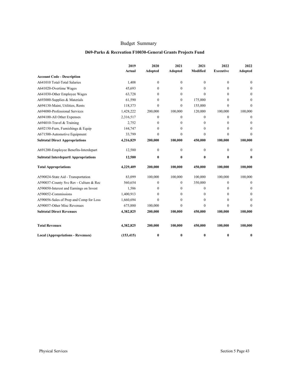## **D69-Parks & Recreation F10030-General Grants Projects Fund**

|                                             | 2019       | 2020           | 2021             | 2021            | 2022             | 2022           |
|---------------------------------------------|------------|----------------|------------------|-----------------|------------------|----------------|
|                                             | Actual     | <b>Adopted</b> | <b>Adopted</b>   | <b>Modified</b> | <b>Executive</b> | <b>Adopted</b> |
| <b>Account Code - Description</b>           |            |                |                  |                 |                  |                |
| A641010 Total-Total Salaries                | 1,408      | $\mathbf{0}$   | $\mathbf{0}$     | $\mathbf{0}$    | $\theta$         | $\mathbf{0}$   |
| A641020-Overtime Wages                      | 45.693     | $\mathbf{0}$   | $\boldsymbol{0}$ | $\theta$        | 0                | $\mathbf{0}$   |
| A641030-Other Employee Wages                | 63,728     | $\Omega$       | 0                | $\Omega$        | 0                | $\theta$       |
| A693000-Supplies & Materials                | 61,590     | $\mathbf{0}$   | $\mathbf{0}$     | 175,000         | 0                | $\Omega$       |
| A694130-Maint, Utilities, Rents             | 118,373    | $\mathbf{0}$   | $\mathbf{0}$     | 155,000         | $\theta$         | $\Omega$       |
| A694080-Professional Services               | 1,428,222  | 200,000        | 100,000          | 120,000         | 100,000          | 100,000        |
| A694100-All Other Expenses                  | 2,316,517  | $\mathbf{0}$   | $\mathbf{0}$     | $\Omega$        | 0                | $\mathbf{0}$   |
| A694010-Travel & Training                   | 2,752      | $\mathbf{0}$   | $\mathbf{0}$     | $\mathbf{0}$    | 0                | $\mathbf{0}$   |
| A692150-Furn, Furnishings & Equip           | 144,747    | $\mathbf{0}$   | $\mathbf{0}$     | $\mathbf{0}$    | 0                | $\mathbf{0}$   |
| A671500-Automotive Equipment                | 33,799     | $\mathbf{0}$   | $\mathbf{0}$     | $\mathbf{0}$    | $\boldsymbol{0}$ | $\mathbf{0}$   |
| <b>Subtotal Direct Appropriations</b>       | 4,216,829  | 200,000        | 100,000          | 450,000         | 100,000          | 100,000        |
| A691200-Employee Benefits-Interdepart       | 12,580     | $\mathbf{0}$   | $\mathbf{0}$     | $\theta$        | $\theta$         | $\mathbf{0}$   |
| <b>Subtotal Interdepartl Appropriations</b> | 12,580     | $\bf{0}$       | 0                | $\mathbf{0}$    | 0                | 0              |
| <b>Total Appropriations</b>                 | 4,229,409  | 200,000        | 100,000          | 450,000         | 100,000          | 100,000        |
| A590024-State Aid - Transportation          | 83,099     | 100,000        | 100,000          | 100,000         | 100,000          | 100,000        |
| A590037-County Svc Rev - Culture & Rec      | 560,654    | $\mathbf{0}$   | $\Omega$         | 350,000         | 0                | $\Omega$       |
| A590050-Interest and Earnings on Invest     | 1,586      | $\mathbf{0}$   | 0                | $\mathbf{0}$    | 0                | $\mathbf{0}$   |
| A590052-Commissions                         | 1,400,913  | $\Omega$       | $\Omega$         | $\Omega$        | 0                | $\Omega$       |
| A590056-Sales of Prop and Comp for Loss     | 1,660,694  | $\theta$       | $\Omega$         | $\Omega$        | 0                | $\Omega$       |
| A590057-Other Misc Revenues                 | 675,880    | 100,000        | 0                | $\Omega$        | $\Omega$         | $\Omega$       |
| <b>Subtotal Direct Revenues</b>             | 4,382,825  | 200,000        | 100,000          | 450,000         | 100,000          | 100,000        |
| <b>Total Revenues</b>                       | 4,382,825  | 200,000        | 100,000          | 450,000         | 100,000          | 100,000        |
| <b>Local (Appropriations - Revenues)</b>    | (153, 415) | $\bf{0}$       | $\bf{0}$         | $\bf{0}$        | 0                | 0              |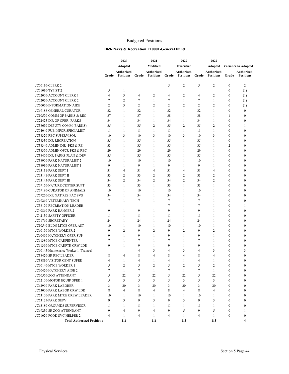## Budgeted Positions

#### **D69-Parks & Recreation F10001-General Fund**

|                                                       |                | 2020                           |                | 2021                                  |         | 2022<br>2022                          |         |                                |                              |                                  |
|-------------------------------------------------------|----------------|--------------------------------|----------------|---------------------------------------|---------|---------------------------------------|---------|--------------------------------|------------------------------|----------------------------------|
|                                                       |                | <b>Adopted</b>                 |                | Modified                              |         | <b>Executive</b>                      |         | Adopted                        |                              | <b>Variance to Adopted</b>       |
|                                                       | Grade          | Authorized<br><b>Positions</b> | Grade          | <b>Authorized</b><br><b>Positions</b> | Grade   | <b>Authorized</b><br><b>Positions</b> | Grade   | Authorized<br><b>Positions</b> | Grade                        | Authorized<br><b>Positions</b>   |
| JC00110-CLERK 2                                       |                |                                |                |                                       | 5       | $\overline{2}$                        | 5       | 2                              | $\boldsymbol{0}$             | 2                                |
| JC01010-TYPIST 2                                      | 5              | $\mathbf{1}$                   |                |                                       |         |                                       |         |                                | $\boldsymbol{0}$             | (1)                              |
| JC02000-ACCOUNT CLERK 1                               | 4              | 3                              | 4              | $\overline{c}$                        | 4       | $\overline{2}$                        | 4       | $\overline{2}$                 | $\boldsymbol{0}$             | (1)                              |
| JC02020-ACCOUNT CLERK 2                               | $\tau$         | $\overline{2}$                 | $\tau$         | $\mathbf{1}$                          | 7       | $\mathbf{1}$                          | 7       | $\mathbf{1}$                   | $\boldsymbol{0}$             | (1)                              |
| JC60070-INFORMATION AIDE                              | 2              | 3                              | 2              | $\overline{2}$                        | 2       | $\overline{2}$                        | 2       | $\overline{2}$                 | $\boldsymbol{0}$             | (1)                              |
| <b>JC69188-GENERAL CURATOR</b>                        | 32             | $\mathbf{1}$                   | 32             | $\mathbf{1}$                          | 32      | $\mathbf{1}$                          | 32      | $\mathbf{1}$                   | $\boldsymbol{0}$             | $\mathbf{0}$                     |
| JC10570-COMM OF PARKS & REC                           | 37             | $\mathbf{1}$                   | 37             | $\mathbf{1}$                          | 38      | $\mathbf{1}$                          | 38      | $\mathbf{1}$                   | $\mathbf{1}$                 | $\mathbf{0}$                     |
| JC22425-DIR OF OPER -PARKS-                           | 34             | $\mathbf{1}$                   | 34             | $\mathbf{1}$                          | 34      | $\mathbf{1}$                          | 34      | $\mathbf{1}$                   | $\boldsymbol{0}$             | $\mathbf{0}$                     |
| JC38650-DEPUTY COMM (PARKS)                           | 35             | $\mathbf{1}$                   | 35             | $\overline{2}$                        | 35      | $\overline{2}$                        | 35      | $\overline{2}$                 | $\mathbf{0}$                 | 1                                |
| JC04040-PUB INFOR SPECIALIST                          | 11             | 1                              | 11             | $\mathbf{1}$                          | 11      | $\mathbf{1}$                          | 11      | $\mathbf{1}$                   | $\mathbf{0}$                 | $\mathbf{0}$                     |
| JC38320-REC SUPERVISOR                                | 10             | $\overline{3}$                 | 10             | 3                                     | 10      | 3                                     | 10      | 3                              | $\mathbf{0}$                 | $\mathbf{0}$                     |
| <b>JC38330-DIR RECREATION</b>                         | 35             | $\mathbf{1}$                   | 35             | $\mathbf{1}$                          | 35      | $\mathbf{1}$                          | 35      | $\mathbf{1}$                   | $\boldsymbol{0}$             | $\mathbf{0}$                     |
| JC38340-ADMIN DIR -PKS & RE-                          | 33             | $\mathbf{1}$                   | 35             | $\mathbf{1}$                          | 35      | $\mathbf{1}$                          | 35      | $\mathbf{1}$                   | $\overline{2}$               | $\mathbf{0}$                     |
| JC38350-ADMIN OFCR PKS & REC                          | 29             | 1                              | 29             | $\mathbf{1}$                          | 29      | $\mathbf{1}$                          | 29      | $\mathbf{1}$                   | $\mathbf{0}$                 | $\theta$                         |
| JC38400-DIR PARKS PLAN & DEV                          | 35             | $\mathbf{1}$                   | 35             | $\mathbf{1}$                          | 35      | $\mathbf{1}$                          | 35      | $\mathbf{1}$                   | $\bf{0}$                     | $\mathbf{0}$                     |
| <b>JC38900-PARK NATURALIST 2</b>                      | 10             | $\mathbf{1}$                   | 10             | $\mathbf{1}$                          | 10      | $\mathbf{1}$                          | 10      | $\mathbf{1}$                   | $\boldsymbol{0}$             | $\theta$                         |
| JC38910-PARK NATURALIST 1                             | 9              | $\mathbf{1}$                   | 9              | $\mathbf{1}$                          | 9       | $\mathbf{1}$                          | 9       | $\mathbf{1}$                   | $\boldsymbol{0}$             | $\mathbf{0}$                     |
| JC63131-PARK SUPT I                                   | 31             | $\overline{4}$                 | 31             | $\overline{4}$                        | 31      | $\overline{4}$                        | 31      | $\overline{4}$                 | $\mathbf{0}$                 | $\theta$                         |
| JC63141-PARK SUPT II                                  | 33             | $\overline{2}$                 | 33             | $\overline{2}$                        | 33      | $\overline{2}$                        | 33      | 2                              | $\boldsymbol{0}$             | $\mathbf{0}$                     |
| JC63145-PARK SUPT III                                 | 34             | $\overline{c}$                 | 34             | $\overline{2}$                        | 34      | $\overline{c}$                        | 34      | $\overline{2}$                 | $\boldsymbol{0}$             | $\mathbf{0}$                     |
| JC69170-NATURE CENTER SUPT                            | 33             | $\mathbf{1}$                   | 33             | $\mathbf{1}$                          | 33      | $\mathbf{1}$                          | 33      | $\mathbf{1}$                   | $\boldsymbol{0}$             | $\mathbf{0}$                     |
| <b>JC69180-CURATOR OF ANIMALS</b>                     | 10             | $\mathbf{1}$                   | 10             | $\mathbf{1}$                          | 10      | $\mathbf{1}$                          | 10      | $\mathbf{1}$                   | $\mathbf{0}$                 | $\mathbf{0}$                     |
| JC69270-DIR NAT RES FAC SVS                           | 34             | $\mathbf{1}$                   | 34             | $\mathbf{1}$                          | 34      | $\mathbf{1}$                          | 34      | $\mathbf{1}$                   | $\boldsymbol{0}$             | $\mathbf{0}$                     |
| <b>JC69260-VETERINARY TECH</b>                        | 7              | $\mathbf{1}$                   | 7              | $\mathbf{1}$                          | 7       | $\mathbf{1}$                          | 7       | $\mathbf{1}$                   | $\boldsymbol{0}$             | $\mathbf{0}$                     |
| JC38170-RECREATION LEADER                             |                |                                |                |                                       | 7       | $\mathbf{1}$                          | 7       | $\mathbf{1}$                   | $\boldsymbol{0}$             | 1                                |
| JC40860-PARK RANGER 2                                 | 9              | $\mathbf{1}$                   | 9              | $\mathbf{1}$                          | 9       | $\mathbf{1}$                          | 9       | $\mathbf{1}$                   | $\mathbf{0}$                 | $\mathbf{0}$                     |
| JC42130-SAFETY OFFICER                                | 11             | $\mathbf{1}$                   | 11             | $\mathbf{1}$                          | 11      | $\mathbf{1}$                          | 11      | $\mathbf{1}$                   | $\mathbf{0}$                 | $\theta$                         |
| JC01760-SECRETARY                                     | 24             | $\mathbf{1}$                   | 24             | $\mathbf{1}$                          | 24      | $\mathbf{1}$                          | 24      | $\mathbf{1}$                   | $\boldsymbol{0}$             | $\mathbf{0}$                     |
| JC10540-BLDG MTCE OPER AST                            | 10             | $\mathbf{1}$                   | 10             | $\mathbf{1}$                          | 10      | $\mathbf{1}$                          | 10      | $\mathbf{1}$                   | $\boldsymbol{0}$             | $\mathbf{0}$                     |
|                                                       | 9              | $\overline{2}$                 | 9              | $\overline{2}$                        | 9       | $\overline{2}$                        | 9       | $\overline{2}$                 | $\mathbf{0}$                 | $\mathbf{0}$                     |
| JC60150-MTCE WORKER 2                                 | 9              |                                | 9              |                                       | 9       | $\mathbf{1}$                          | 9       | $\mathbf{1}$                   | $\mathbf{0}$                 | $\theta$                         |
| JC60490-HATCHERY OPER SUP                             | 7              | 1                              | 7              | 1                                     | 7       | $\mathbf{1}$                          | 7       | $\mathbf{1}$                   |                              | $\mathbf{0}$                     |
| JC61380-MTCE CARPENTER<br>JC61390-MTCE CARPTR CRW LDR | 9              | 1<br>$\mathbf{1}$              | 9              | 1<br>$\mathbf{1}$                     | 9       | $\mathbf{1}$                          | 9       | $\mathbf{1}$                   | $\bf{0}$<br>$\boldsymbol{0}$ | $\mathbf{0}$                     |
| JC60145-Maintenance Worker 1 (Trainee)                |                |                                | $\overline{4}$ | 3                                     | 4       | 3                                     | 4       | 3                              | $\bf{0}$                     | 3                                |
| JC38420-SR REC LEADER                                 | 8              | 4                              | 8              | 4                                     | 8       | 4                                     | 8       | $\overline{4}$                 | $\mathbf{0}$                 | $\mathbf{0}$                     |
|                                                       |                |                                | 4              |                                       | 4       |                                       |         |                                | $\boldsymbol{0}$             | $\mathbf{0}$                     |
| JC38810-VISITOR CENT SUPER                            | 4<br>5         | 1<br>2                         | 5              | 1<br>$\overline{c}$                   | 5       | $\mathbf{1}$<br>$\overline{c}$        | 4<br>5  | 1<br>$\overline{2}$            | $\boldsymbol{0}$             | $\mathbf{0}$                     |
| JC60140-MTCE WORKER 1<br>JC60420-HATCHERY AIDE 2      | $\tau$         | $\mathbf{1}$                   | $\overline{7}$ | $\mathbf{1}$                          | 7       | $\mathbf{1}$                          | $\tau$  | $\mathbf{1}$                   | $\Omega$                     | $\Omega$                         |
| JC60550-ZOO ATTENDANT                                 | 5              | 22                             | 5              |                                       | 5       | 22                                    | 5       | 22                             | $\boldsymbol{0}$             | $\boldsymbol{0}$                 |
| JC62100-MOTOR EQUIP OPER 1                            | 5              | 3                              | 5              | 22<br>3                               | 5       | 3                                     | 5       | 3                              | $\boldsymbol{0}$             | $\boldsymbol{0}$                 |
|                                                       | 3              | 20                             | 3              | 20                                    | 3       | 20                                    | 3       |                                |                              |                                  |
| JC62990-PARK LABORER<br>JC63000-PARK LABOR CRW LDR    | 8              | 4                              | 8              | $\overline{4}$                        | 8       | 4                                     | 8       | 20<br>4                        | $\boldsymbol{0}$<br>0        | 0<br>$\overline{0}$              |
|                                                       |                |                                |                |                                       |         |                                       |         |                                |                              |                                  |
| JC63100-PARK MTCE CREW LEADER<br>JC63125-PARK SUPV    | 10<br>9        | $\mathbf{1}$<br>3              | 10<br>9        | 1<br>3                                | 10<br>9 | $\mathbf{1}$<br>3                     | 10<br>9 | $\mathbf{1}$<br>3              | $\mathbf{0}$<br>$\mathbf{0}$ | $\overline{0}$<br>$\overline{0}$ |
| JC63180-GROUNDS SUPERVISOR                            | 11             | $\mathbf{1}$                   | 11             | $\mathbf{1}$                          | 11      | $\mathbf{1}$                          | 11      | $\mathbf{1}$                   | $\boldsymbol{0}$             | $\overline{0}$                   |
| JC69230-SR ZOO ATTENDANT                              | 9              | 4                              | 9              | $\overline{4}$                        | 9       | 5                                     | 9       | 5                              | $\boldsymbol{0}$             | $\mathbf{1}$                     |
| JC71020-FOOD SVC HELPER 2                             | $\overline{4}$ | $\mathbf{1}$                   | 4              | $\mathbf{1}$                          | 4       | $\mathbf{1}$                          | 4       | $\mathbf{1}$                   | $\boldsymbol{0}$             | $\overline{0}$                   |
| <b>Total Authorized Positions</b>                     |                | 111                            |                | 111                                   |         | 115                                   |         | 115                            |                              | 4                                |
|                                                       |                |                                |                |                                       |         |                                       |         |                                |                              |                                  |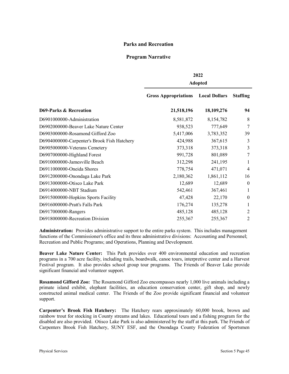## **Parks and Recreation**

## **Program Narrative**

|                                             | 2022<br><b>Adopted</b>      |                      |                  |  |  |  |  |
|---------------------------------------------|-----------------------------|----------------------|------------------|--|--|--|--|
|                                             | <b>Gross Appropriations</b> | <b>Local Dollars</b> | <b>Staffing</b>  |  |  |  |  |
| <b>D69-Parks &amp; Recreation</b>           | 21,518,196                  | 18,109,276           | 94               |  |  |  |  |
| D6901000000-Administration                  | 8,581,872                   | 8,154,782            | 8                |  |  |  |  |
| D6902000000-Beaver Lake Nature Center       | 938,523                     | 777,649              | 7                |  |  |  |  |
| D6903000000-Rosamond Gifford Zoo            | 5,417,006                   | 3,783,352            | 39               |  |  |  |  |
| D6904000000-Carpenter's Brook Fish Hatchery | 424,988                     | 367,615              | 3                |  |  |  |  |
| D6905000000-Veterans Cemetery               | 373,318                     | 373,318              | 3                |  |  |  |  |
| D6907000000-Highland Forest                 | 991,728                     | 801,089              | 7                |  |  |  |  |
| D6910000000-Jamesville Beach                | 312,298                     | 241,195              | 1                |  |  |  |  |
| D6911000000-Oneida Shores                   | 778,754                     | 471,071              | $\overline{4}$   |  |  |  |  |
| D6912000000-Onondaga Lake Park              | 2,180,362                   | 1,861,112            | 16               |  |  |  |  |
| D6913000000-Otisco Lake Park                | 12,689                      | 12,689               | $\theta$         |  |  |  |  |
| D6914000000-NBT Stadium                     | 542,461                     | 367,461              | 1                |  |  |  |  |
| D6915000000-Hopkins Sports Facility         | 47,428                      | 22,170               | $\boldsymbol{0}$ |  |  |  |  |
| D6916000000-Pratt's Falls Park              | 176,274                     | 135,278              | 1                |  |  |  |  |
| D6917000000-Rangers                         | 485,128                     | 485,128              | $\overline{2}$   |  |  |  |  |
| D6918000000-Recreation Division             | 255,367                     | 255,367              | $\overline{2}$   |  |  |  |  |
|                                             |                             |                      |                  |  |  |  |  |

**Administration:** Provides administrative support to the entire parks system. This includes management functions of the Commissioner's office and its three administrative divisions: Accounting and Personnel; Recreation and Public Programs; and Operations, Planning and Development.

**Beaver Lake Nature Center:** This Park provides over 400 environmental education and recreation programs in a 700 acre facility, including trails, boardwalk, canoe tours, interpretive center and a Harvest Festival program. It also provides school group tour programs. The Friends of Beaver Lake provide significant financial and volunteer support.

**Rosamond Gifford Zoo:** The Rosamond Gifford Zoo encompasses nearly 1,000 live animals including a primate island exhibit, elephant facilities, an education conservation center, gift shop, and newly constructed animal medical center. The Friends of the Zoo provide significant financial and volunteer support.

Carpenter's Brook Fish Hatchery**:** The Hatchery rears approximately 60,000 brook, brown and rainbow trout for stocking in County streams and lakes. Educational tours and a fishing program for the disabled are also provided. Otisco Lake Park is also administered by the staff at this park. The Friends of Carpenters Brook Fish Hatchery, SUNY ESF, and the Onondaga County Federation of Sportsmen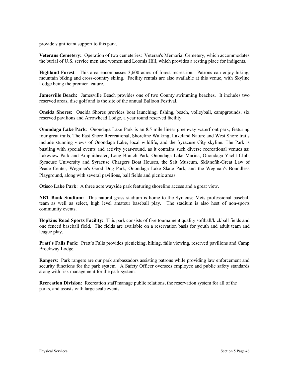provide significant support to this park.

**Veterans Cemetery:** Operation of two cemeteries: Veteran's Memorial Cemetery, which accommodates the burial of U.S. service men and women and Loomis Hill, which provides a resting place for indigents.

**Highland Forest**:This area encompasses 3,600 acres of forest recreation. Patrons can enjoy hiking, mountain biking and cross-country skiing. Facility rentals are also available at this venue, with Skyline Lodge being the premier feature.

**Jamesville Beach:** Jamesville Beach provides one of two County swimming beaches. It includes two reserved areas, disc golf and is the site of the annual Balloon Festival.

**Oneida Shores:** Oneida Shores provides boat launching, fishing, beach, volleyball, campgrounds, six reserved pavilions and Arrowhead Lodge, a year round reserved facility.

**Onondaga Lake Park**: Onondaga Lake Park is an 8.5 mile linear greenway waterfront park, featuring four great trails. The East Shore Recreational, Shoreline Walking, Lakeland Nature and West Shore trails include stunning views of Onondaga Lake, local wildlife, and the Syracuse City skyline. The Park is bustling with special events and activity year-round, as it contains such diverse recreational venues as: Lakeview Park and Amphitheater, Long Branch Park, Onondaga Lake Marina, Onondaga Yacht Club, Syracuse University and Syracuse Chargers Boat Houses, the Salt Museum, Skä•noñh-Great Law of Peace Center, Wegman's Good Dog Park, Onondaga Lake Skate Park, and the Wegman's Boundless Playground, along with several pavilions, ball fields and picnic areas.

**Otisco Lake Park**: A three acre wayside park featuring shoreline access and a great view.

**NBT Bank Stadium:** This natural grass stadium is home to the Syracuse Mets professional baseball team as well as select, high level amateur baseball play. The stadium is also host of non-sports community events.

**Hopkins Road Sports Facility:** This park consists of five tournament quality softball/kickball fields and one fenced baseball field. The fields are available on a reservation basis for youth and adult team and league play.

Pratt's Falls Park: Pratt's Falls provides picnicking, hiking, falls viewing, reserved pavilions and Camp Brockway Lodge.

**Rangers**: Park rangers are our park ambassadors assisting patrons while providing law enforcement and security functions for the park system. A Safety Officer oversees employee and public safety standards along with risk management for the park system.

**Recreation Division**: Recreation staff manage public relations, the reservation system for all of the parks, and assists with large scale events.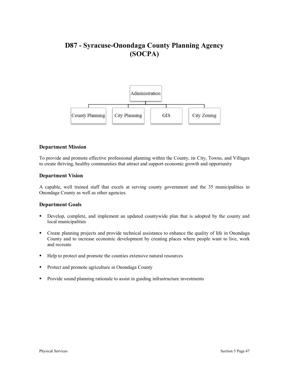# **D87 - Syracuse-Onondaga County Planning Agency (SOCPA)**



#### **Department Mission**

To provide and promote effective professional planning within the County, its City, Towns, and Villages to create thriving, healthy communities that attract and support economic growth and opportunity

#### **Department Vision**

A capable, well trained staff that excels at serving county government and the 35 municipalities in Onondaga County as well as other agencies.

#### **Department Goals**

- § Develop, complete, and implement an updated countywide plan that is adopted by the county and local municipalities
- Create planning projects and provide technical assistance to enhance the quality of life in Onondaga County and to increase economic development by creating places where people want to live, work and recreate
- Help to protect and promote the counties extensive natural resources
- Protect and promote agriculture in Onondaga County
- Provide sound planning rationale to assist in guiding infrastructure investments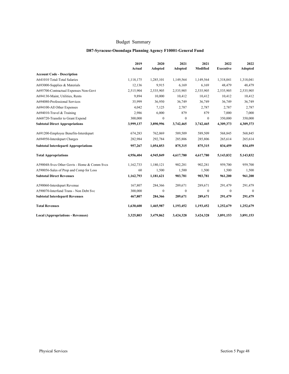## **D87-Syracuse-Onondaga Planning Agency F10001-General Fund**

|                                             | 2019      | 2020             | 2021             | 2021         | 2022             | 2022           |
|---------------------------------------------|-----------|------------------|------------------|--------------|------------------|----------------|
|                                             | Actual    | Adopted          | Adopted          | Modified     | <b>Executive</b> | <b>Adopted</b> |
| <b>Account Code - Description</b>           |           |                  |                  |              |                  |                |
| A641010 Total-Total Salaries                | 1,118,175 | 1,285,101        | 1,149,564        | 1,149,564    | 1,318,041        | 1,318,041      |
| A693000-Supplies & Materials                | 12,136    | 9,915            | 6,169            | 6,169        | 48,479           | 48,479         |
| A695700-Contractual Expenses Non-Govt       | 2,515,904 | 2,535,905        | 2,535,905        | 2,535,905    | 2,535,905        | 2,535,905      |
| A694130-Maint, Utilities, Rents             | 9.894     | 10,000           | 10,412           | 10,412       | 10,412           | 10,412         |
| A694080-Professional Services               | 35,999    | 36,950           | 36,749           | 36,749       | 36,749           | 36,749         |
| A694100-All Other Expenses                  | 4,042     | 7,125            | 2,787            | 2,787        | 2,787            | 2,787          |
| A694010-Travel & Training                   | 2,986     | 6,000            | 879              | 879          | 7.000            | 7,000          |
| A668720-Transfer to Grant Expend            | 300,000   | $\overline{0}$   | $\boldsymbol{0}$ | $\mathbf{0}$ | 350,000          | 350,000        |
| <b>Subtotal Direct Appropriations</b>       | 3,999,137 | 3,890,996        | 3,742,465        | 3,742,465    | 4.309.373        | 4,309,373      |
| A691200-Employee Benefits-Interdepart       | 674,283   | 762,069          | 589,509          | 589,509      | 568,845          | 568,845        |
| A694950-Interdepart Charges                 | 282,984   | 292,784          | 285,806          | 285,806      | 265,614          | 265,614        |
| <b>Subtotal Interdepartl Appropriations</b> | 957,267   | 1,054,853        | 875,315          | 875,315      | 834,459          | 834,459        |
| <b>Total Appropriations</b>                 | 4,956,404 | 4,945,849        | 4,617,780        | 4,617,780    | 5,143,832        | 5,143,832      |
| A590048-Svcs Other Govts - Home & Comm Svcs | 1,162,733 | 1,180,121        | 902,281          | 902,281      | 959,700          | 959,700        |
| A590056-Sales of Prop and Comp for Loss     | 60        | 1,500            | 1,500            | 1,500        | 1,500            | 1,500          |
| <b>Subtotal Direct Revenues</b>             | 1,162,793 | 1,181,621        | 903,781          | 903,781      | 961,200          | 961,200        |
| A590060-Interdepart Revenue                 | 167,807   | 284,366          | 289,671          | 289,671      | 291,479          | 291,479        |
| A590070-Interfund Trans - Non Debt Svc      | 300,000   | $\boldsymbol{0}$ | $\boldsymbol{0}$ | $\mathbf{0}$ | $\boldsymbol{0}$ | $\mathbf{0}$   |
| <b>Subtotal Interdepartl Revenues</b>       | 467,807   | 284,366          | 289,671          | 289,671      | 291,479          | 291,479        |
| <b>Total Revenues</b>                       | 1,630,600 | 1,465,987        | 1,193,452        | 1,193,452    | 1,252,679        | 1,252,679      |
| <b>Local (Appropriations - Revenues)</b>    | 3,325,803 | 3,479,862        | 3,424,328        | 3,424,328    | 3,891,153        | 3,891,153      |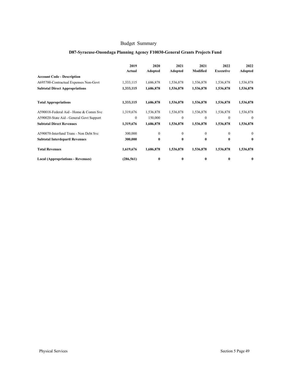## **D87-Syracuse-Onondaga Planning Agency F10030-General Grants Projects Fund**

|                                          | 2019<br>Actual | 2020<br>Adopted | 2021<br>Adopted  | 2021<br>Modified | 2022<br><b>Executive</b> | 2022<br>Adopted  |
|------------------------------------------|----------------|-----------------|------------------|------------------|--------------------------|------------------|
| <b>Account Code - Description</b>        |                |                 |                  |                  |                          |                  |
| A695700-Contractual Expenses Non-Govt    | 1,333,115      | 1,686,878       | 1,536,878        | 1,536,878        | 1,536,878                | 1,536,878        |
| <b>Subtotal Direct Appropriations</b>    | 1,333,115      | 1,686,878       | 1,536,878        | 1,536,878        | 1,536,878                | 1,536,878        |
| <b>Total Appropriations</b>              | 1,333,115      | 1,686,878       | 1,536,878        | 1,536,878        | 1,536,878                | 1,536,878        |
| A590018-Federal Aid - Home & Comm Svc    | 1,319,676      | 1,536,878       | 1,536,878        | 1,536,878        | 1,536,878                | 1,536,878        |
| A590020-State Aid - General Govt Support | 0              | 150,000         | $\mathbf{0}$     | $\mathbf{0}$     | $\mathbf{0}$             | $\mathbf{0}$     |
| <b>Subtotal Direct Revenues</b>          | 1,319,676      | 1,686,878       | 1,536,878        | 1,536,878        | 1,536,878                | 1,536,878        |
| A590070-Interfund Trans - Non Debt Svc   | 300,000        | $\mathbf{0}$    | $\boldsymbol{0}$ | $\overline{0}$   | $\mathbf{0}$             | $\boldsymbol{0}$ |
| <b>Subtotal Interdepartl Revenues</b>    | 300,000        | $\bf{0}$        | 0                | $\bf{0}$         | 0                        | $\bf{0}$         |
| <b>Total Revenues</b>                    | 1,619,676      | 1,686,878       | 1,536,878        | 1,536,878        | 1,536,878                | 1,536,878        |
| Local (Appropriations - Revenues)        | (286, 561)     | $\bf{0}$        | 0                | $\bf{0}$         | 0                        | $\bf{0}$         |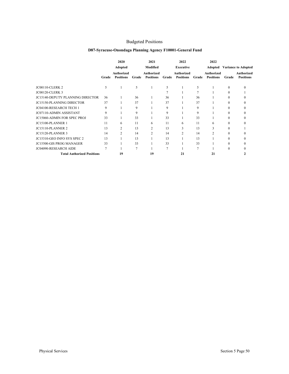## Budgeted Positions

## **D87-Syracuse-Onondaga Planning Agency F10001-General Fund**

|                                         |       | 2020                           |       | 2021                                  |       | 2022                                  |       | 2022                                  |          |                                       |
|-----------------------------------------|-------|--------------------------------|-------|---------------------------------------|-------|---------------------------------------|-------|---------------------------------------|----------|---------------------------------------|
|                                         |       | Adopted                        |       | Modified                              |       | <b>Executive</b>                      |       | Adopted                               |          | <b>Variance to Adopted</b>            |
|                                         | Grade | Authorized<br><b>Positions</b> | Grade | <b>Authorized</b><br><b>Positions</b> | Grade | <b>Authorized</b><br><b>Positions</b> | Grade | <b>Authorized</b><br><b>Positions</b> | Grade    | <b>Authorized</b><br><b>Positions</b> |
| <b>JC00110-CLERK 2</b>                  | 5     |                                | 5     |                                       | 5     |                                       | 5     |                                       | $\Omega$ |                                       |
| <b>JC00120-CLERK 3</b>                  |       |                                |       |                                       |       |                                       |       |                                       | 0        |                                       |
| <b>JC15140-DEPUTY PLANNING DIRECTOR</b> | 36    |                                | 36    |                                       | 36    |                                       | 36    |                                       | 0        |                                       |
| <b>JC15150-PLANNING DIRECTOR</b>        | 37    |                                | 37    |                                       | 37    |                                       | 37    |                                       | 0        |                                       |
| <b>JC04100-RESEARCH TECH 1</b>          | 9     |                                | 9     |                                       | 9     |                                       | 9     |                                       |          |                                       |
| <b>JC07110-ADMIN ASSISTANT</b>          | 9     |                                | 9     |                                       | 9     |                                       | 9     |                                       |          |                                       |
| <b>JC15060-ADMIN FOR SPEC PROJ</b>      | 33    |                                | 33    |                                       | 33    |                                       | 33    |                                       | 0        |                                       |
| JC15100-PLANNER 1                       | 11    | 6                              | 11    | 6                                     | 11    | 6                                     | 11    | 6                                     | 0        |                                       |
| <b>JC15110-PLANNER 2</b>                | 13    | $\overline{c}$                 | 13    | 2                                     | 13    |                                       | 13    | 3                                     | 0        |                                       |
| <b>JC15120-PLANNER 3</b>                | 14    | $\mathfrak{D}$                 | 14    | $\mathfrak{D}$                        | 14    |                                       | 14    | $\mathfrak{D}$                        | 0        |                                       |
| JC15310-GEO INFO SYS SPEC 2             | 13    |                                | 13    |                                       | 13    |                                       | 13    |                                       | $\Omega$ |                                       |
| <b>JC15500-GIS PROG MANAGER</b>         | 33    |                                | 33    |                                       | 33    |                                       | 33    |                                       | 0        |                                       |
| <b>JC04090-RESEARCH AIDE</b>            | 7     |                                | 7     |                                       | 7     |                                       | 7     |                                       | $\theta$ |                                       |
| <b>Total Authorized Positions</b>       |       | 19                             |       | 19                                    |       | 21                                    |       | 21                                    |          |                                       |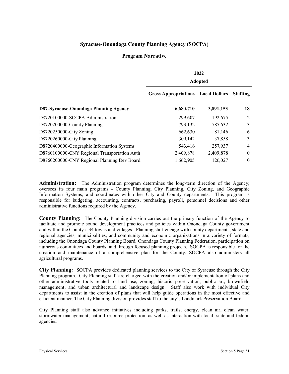## **Syracuse-Onondaga County Planning Agency (SOCPA)**

#### **Program Narrative**

|                                              | 2022                                      |           |                 |  |  |  |  |  |
|----------------------------------------------|-------------------------------------------|-----------|-----------------|--|--|--|--|--|
|                                              | <b>Adopted</b>                            |           |                 |  |  |  |  |  |
|                                              | <b>Gross Appropriations</b> Local Dollars |           | <b>Staffing</b> |  |  |  |  |  |
| D87-Syracuse-Onondaga Planning Agency        | 6,680,710                                 | 3,891,153 | 18              |  |  |  |  |  |
| D8720100000-SOCPA Administration             | 299,607                                   | 192,675   | 2               |  |  |  |  |  |
| D8720200000-County Planning                  | 793,132                                   | 785,632   | 3               |  |  |  |  |  |
| D8720250000-City Zoning                      | 662,630                                   | 81,146    | 6               |  |  |  |  |  |
| D8720260000-City Planning                    | 309,142                                   | 37,858    | 3               |  |  |  |  |  |
| D8720400000-Geographic Information Systems   | 543,416                                   | 257,937   | $\overline{4}$  |  |  |  |  |  |
| D8760100000-CNY Regional Transportation Auth | 2,409,878                                 | 2,409,878 | $\theta$        |  |  |  |  |  |
| D8760200000-CNY Regional Planning Dev Board  | 1,662,905                                 | 126,027   | $\theta$        |  |  |  |  |  |

**Administration:** The Administration program determines the long-term direction of the Agency; oversees its four main programs - County Planning, City Planning, City Zoning, and Geographic Information Systems; and coordinates with other City and County departments. This program is responsible for budgeting, accounting, contracts, purchasing, payroll, personnel decisions and other administrative functions required by the Agency.

**County Planning:** The County Planning division carries out the primary function of the Agency to facilitate and promote sound development practices and policies within Onondaga County government and within the County's 34 towns and villages. Planning staff engage with county departments, state and regional agencies, municipalities, and community and economic organizations in a variety of formats, including the Onondaga County Planning Board, Onondaga County Planning Federation, participation on numerous committees and boards, and through focused planning projects. SOCPA is responsible for the creation and maintenance of a comprehensive plan for the County. SOCPA also administers all agricultural programs.

**City Planning:** SOCPA provides dedicated planning services to the City of Syracuse through the City Planning program. City Planning staff are charged with the creation and/or implementation of plans and other administrative tools related to land use, zoning, historic preservation, public art, brownfield management, and urban architectural and landscape design. Staff also work with individual City departments to assist in the creation of plans that will help guide operations in the most effective and efficient manner. The City Planning division provides staff to the city's Landmark Preservation Board.

City Planning staff also advance initiatives including parks, trails, energy, clean air, clean water, stormwater management, natural resource protection, as well as interaction with local, state and federal agencies.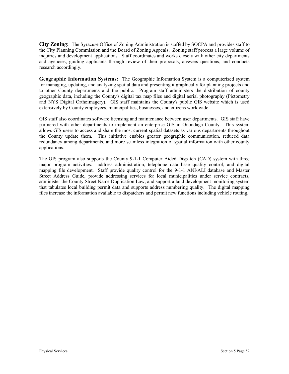**City Zoning:** The Syracuse Office of Zoning Administration is staffed by SOCPA and provides staff to the City Planning Commission and the Board of Zoning Appeals. Zoning staff process a large volume of inquiries and development applications. Staff coordinates and works closely with other city departments and agencies, guiding applicants through review of their proposals, answers questions, and conducts research accordingly.

**Geographic Information Systems:** The Geographic Information System is a computerized system for managing, updating, and analyzing spatial data and presenting it graphically for planning projects and to other County departments and the public. Program staff administers the distribution of county geographic data, including the County's digital tax map files and digital aerial photography (Pictometry and NYS Digital Orthoimagery). GIS staff maintains the County's public GIS website which is used extensively by County employees, municipalities, businesses, and citizens worldwide.

GIS staff also coordinates software licensing and maintenance between user departments. GIS staff have partnered with other departments to implement an enterprise GIS in Onondaga County. This system allows GIS users to access and share the most current spatial datasets as various departments throughout the County update them. This initiative enables greater geographic communication, reduced data redundancy among departments, and more seamless integration of spatial information with other county applications.

The GIS program also supports the County 9-1-1 Computer Aided Dispatch (CAD) system with three major program activities: address administration, telephone data base quality control, and digital mapping file development. Staff provide quality control for the 9-1-1 ANI/ALI database and Master Street Address Guide, provide addressing services for local municipalities under service contracts, administer the County Street Name Duplication Law, and support a land development monitoring system that tabulates local building permit data and supports address numbering quality. The digital mapping files increase the information available to dispatchers and permit new functions including vehicle routing.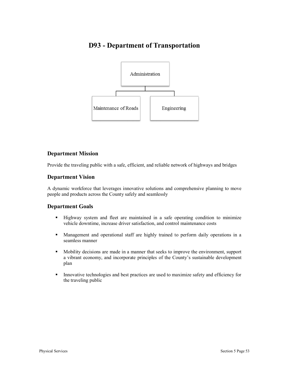# **D93 - Department of Transportation**



## **Department Mission**

Provide the traveling public with a safe, efficient, and reliable network of highways and bridges

## **Department Vision**

A dynamic workforce that leverages innovative solutions and comprehensive planning to move people and products across the County safely and seamlessly

## **Department Goals**

- § Highway system and fleet are maintained in a safe operating condition to minimize vehicle downtime, increase driver satisfaction, and control maintenance costs
- § Management and operational staff are highly trained to perform daily operations in a seamless manner
- § Mobility decisions are made in a manner that seeks to improve the environment, support a vibrant economy, and incorporate principles of the County's sustainable development plan
- Innovative technologies and best practices are used to maximize safety and efficiency for the traveling public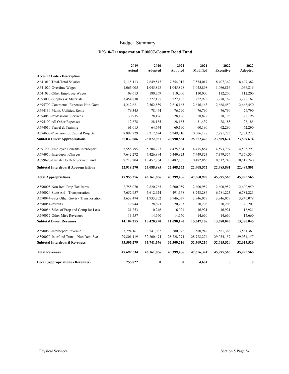## **D9310-Transportation F10007-County Road Fund**

|                                             | 2019<br>Actual | 2020<br><b>Adopted</b> | 2021<br><b>Adopted</b> | 2021<br>Modified | 2022<br><b>Executive</b> | 2022<br><b>Adopted</b> |
|---------------------------------------------|----------------|------------------------|------------------------|------------------|--------------------------|------------------------|
| <b>Account Code - Description</b>           |                |                        |                        |                  |                          |                        |
| A641010 Total-Total Salaries                | 7,118,113      | 7,649,547              | 7,554,017              | 7,554,017        | 8,407,362                | 8,407,362              |
| A641020-Overtime Wages                      | 1,065,005      | 1,045,898              | 1,045,898              | 1,045,898        | 1,066,816                | 1,066,816              |
| A641030-Other Employee Wages                | 109,613        | 180,369                | 110,000                | 110,000          | 112,200                  | 112,200                |
| A693000-Supplies & Materials                | 3,454,830      | 3,222,185              | 3,222,185              | 3,222,978        | 3,278,162                | 3,278,162              |
| A695700-Contractual Expenses Non-Govt       | 4,212,621      | 2,562,839              | 2,616,163              | 2,616,163        | 2,668,450                | 2,668,450              |
| A694130-Maint, Utilities, Rents             | 79,345         | 78,464                 | 76,790                 | 76,790           | 76,790                   | 76,790                 |
| A694080-Professional Services               | 30,935         | 28,196                 | 28,196                 | 28,822           | 28,196                   | 28,196                 |
| A694100-All Other Expenses                  | 12,878         | 28,185                 | 28,185                 | 31,439           | 28,185                   | 28,185                 |
| A694010-Travel & Training                   | 61,015         | 64,674                 | 60,190                 | 60,190           | 62,290                   | 62,290                 |
| A674600-Provision for Capital Projects      | 8,892,729      | 8,212,624              | 6,249,210              | 10,506,128       | 7,781,223                | 7,781,223              |
| <b>Subtotal Direct Appropriations</b>       | 25,037,086     | 23,072,981             | 20,990,834             | 25, 252, 426     | 23,509,674               | 23,509,674             |
| A691200-Employee Benefits-Interdepart       | 5,558,795      | 5,204,227              | 4,475,884              | 4,475,884        | 4,593,797                | 4,593,797              |
| A694950-Interdepart Charges                 | 7,642,272      | 7,426,894              | 7,449,823              | 7,449,823        | 7,379,354                | 7,379,354              |
| A699690-Transfer to Debt Service Fund       | 9,717,204      | 10,457,764             | 10,482,865             | 10,482,865       | 10,512,740               | 10,512,740             |
| <b>Subtotal Interdepartl Appropriations</b> | 22,918,270     | 23,088,885             | 22,408,572             | 22,408,572       | 22,485,891               | 22,485,891             |
| <b>Total Appropriations</b>                 | 47,955,356     | 46,161,866             | 43,399,406             | 47,660,998       | 45,995,565               | 45,995,565             |
| A590005-Non Real Prop Tax Items             | 2,758,070      | 2,820,765              | 2,600,959              | 2,600,959        | 2,600,959                | 2,600,959              |
| A590024-State Aid - Transportation          | 7,652,957      | 5,612,624              | 4,491,368              | 8,748,286        | 6,781,223                | 6,781,223              |
| A590044-Svcs Other Govts - Transportation   | 3,638,474      | 1,933,302              | 3,946,079              | 3,946,079        | 3,946,079                | 3,946,079              |
| A590054-Permits                             | 19,944         | 28,693                 | 20,203                 | 20,203           | 20,203                   | 20,203                 |
| A590056-Sales of Prop and Comp for Loss     | 21,253         | 10,246                 | 16,921                 | 16,921           | 16,921                   | 16,921                 |
| A590057-Other Misc Revenues                 | 13,557         | 14,660                 | 14,660                 | 14,660           | 14,660                   | 14,660                 |
| <b>Subtotal Direct Revenues</b>             | 14, 104, 255   | 10,420,290             | 11,090,190             | 15,347,108       | 13,380,045               | 13,380,045             |
| A590060-Interdepart Revenue                 | 3,794,161      | 3,541,082              | 3,580,942              | 3,580,942        | 3,581,363                | 3,581,363              |
| A590070-Interfund Trans - Non Debt Svc      | 29,801,119     | 32,200,494             | 28,728,274             | 28,728,274       | 29,034,157               | 29,034,157             |
| <b>Subtotal Interdepartl Revenues</b>       | 33,595,279     | 35,741,576             | 32,309,216             | 32,309,216       | 32,615,520               | 32,615,520             |
| <b>Total Revenues</b>                       | 47,699,534     | 46,161,866             | 43,399,406             | 47,656,324       | 45,995,565               | 45,995,565             |
| <b>Local (Appropriations - Revenues)</b>    | 255,822        | $\bf{0}$               | $\bf{0}$               | 4,674            | $\bf{0}$                 | $\bf{0}$               |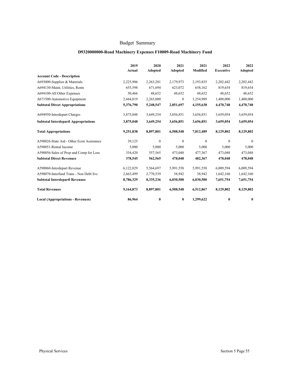## **D9320000000-Road Machinery Expenses F10009-Road Machinery Fund**

|                                             | 2019      | 2020           | 2021         | 2021<br>Modified | 2022<br><b>Executive</b> | 2022         |
|---------------------------------------------|-----------|----------------|--------------|------------------|--------------------------|--------------|
| <b>Account Code - Description</b>           | Actual    | <b>Adopted</b> | Adopted      |                  |                          | Adopted      |
| A693000-Supplies & Materials                | 2,225,906 | 2,263,201      | 2,179,973    | 2,193,835        | 2,202,442                | 2,202,442    |
| A694130-Maint, Utilities, Rents             | 655,598   | 671,694        | 623,072      | 658,162          | 819,654                  | 819,654      |
| A694100-All Other Expenses                  | 50,466    | 48,652         | 48,652       | 48,652           | 48,652                   | 48,652       |
| A671500-Automotive Equipment                | 2,444,819 | 2,265,000      |              | 1,254,989        | 1,400,000                | 1,400,000    |
|                                             |           |                | $\bf{0}$     |                  |                          |              |
| <b>Subtotal Direct Appropriations</b>       | 5,376,790 | 5,248,547      | 2,851,697    | 4,155,638        | 4,470,748                | 4,470,748    |
| A694950-Interdepart Charges                 | 3,875,048 | 3,649,254      | 3,656,851    | 3,656,851        | 3,659,054                | 3,659,054    |
| <b>Subtotal Interdepartl Appropriations</b> | 3,875,048 | 3,649,254      | 3,656,851    | 3,656,851        | 3,659,054                | 3,659,054    |
| <b>Total Appropriations</b>                 | 9,251,838 | 8,897,801      | 6,508,548    | 7,812,489        | 8,129,802                | 8,129,802    |
| A590026-State Aid - Other Econ Assistance   | 39,125    | $\mathbf{0}$   | $\mathbf{0}$ | $\mathbf{0}$     | $\mathbf{0}$             | $\mathbf{0}$ |
| A590051-Rental Income                       | 5,000     | 5,000          | 5,000        | 5,000            | 5,000                    | 5,000        |
| A590056-Sales of Prop and Comp for Loss     | 334,420   | 557,565        | 473,048      | 477,367          | 473,048                  | 473,048      |
| <b>Subtotal Direct Revenues</b>             | 378,545   | 562,565        | 478,048      | 482,367          | 478,048                  | 478,048      |
| A590060-Interdepart Revenue                 | 6,122,829 | 5,564,697      | 5,991,558    | 5,991,558        | 6,009,594                | 6,009,594    |
| A590070-Interfund Trans - Non Debt Svc      | 2,663,499 | 2,770,539      | 38,942       | 38,942           | 1,642,160                | 1,642,160    |
| <b>Subtotal Interdepartl Revenues</b>       | 8,786,329 | 8,335,236      | 6,030,500    | 6,030,500        | 7,651,754                | 7,651,754    |
| <b>Total Revenues</b>                       | 9,164,873 | 8,897,801      | 6,508,548    | 6,512,867        | 8,129,802                | 8,129,802    |
| <b>Local (Appropriations - Revenues)</b>    | 86,964    | $\bf{0}$       | $\bf{0}$     | 1,299,622        | $\bf{0}$                 | $\bf{0}$     |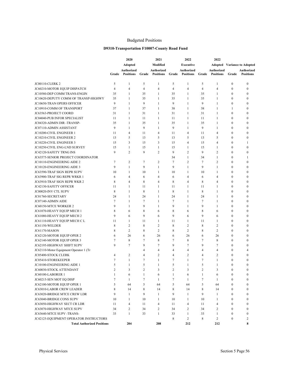#### Budgeted Positions

#### **D9310-Transportation F10007-County Road Fund**

|                                        |                | 2020             |                | 2021             |                | 2022              |                | 2022             |                  |                                    |
|----------------------------------------|----------------|------------------|----------------|------------------|----------------|-------------------|----------------|------------------|------------------|------------------------------------|
|                                        |                | <b>Adopted</b>   |                | Modified         |                | <b>Executive</b>  |                |                  |                  | <b>Adopted</b> Variance to Adopted |
|                                        |                | Authorized       |                | Authorized       |                | <b>Authorized</b> |                | Authorized       |                  | Authorized                         |
|                                        | Grade          | <b>Positions</b> | Grade          | <b>Positions</b> | Grade          | <b>Positions</b>  | Grade          | <b>Positions</b> | Grade            | <b>Positions</b>                   |
| <b>JC00110-CLERK 2</b>                 | 5              | 1                | 5              | 1                | 5              | 1                 | 5              | 1                | $\boldsymbol{0}$ | 0                                  |
| JC60210-MOTOR EQUIP DISPATCH           | $\overline{4}$ | $\overline{4}$   | $\overline{4}$ | 4                | $\overline{4}$ | $\overline{4}$    | $\overline{4}$ | $\overline{4}$   | $\mathbf{0}$     | $\mathbf{0}$                       |
| JC10580-DEP COMM TRANS-ENGIN           | 35             | $\mathbf{1}$     | 35             | 1                | 35             | 1                 | 35             | 1                | $\mathbf{0}$     | 0                                  |
| JC10620-DEPUTY COMM OF TRANSP-HIGHWY   | 35             | $\mathbf{1}$     | 35             | 1                | 35             | $\mathbf{1}$      | 35             | $\mathbf{1}$     | $\mathbf{0}$     | 0                                  |
| JC10650-TRAN OPERS OFFICER             | 9              | $\mathbf{1}$     | 9              | $\mathbf{1}$     | 9              | 1                 | 9              | 1                | $\mathbf{0}$     | 0                                  |
| JC10910-COMM OF TRANSPORT              | 37             | $\mathbf{1}$     | 37             | $\mathbf{1}$     | 38             | 1                 | 38             | 1                | 1                | 0                                  |
| JC63563-PROJECT COORD                  | 31             | $\mathbf{1}$     | 31             | 1                | 31             | 1                 | 31             | 1                | $\mathbf{0}$     | 0                                  |
| <b>JC04040-PUB INFOR SPECIALIST</b>    | 11             | $\mathbf{1}$     | 11             | 1                | 11             | 1                 | 11             | 1                | 0                | 0                                  |
| JC04320-ADMIN DIR -TRANSP-             | 35             | 1                | 35             | 1                | 35             | 1                 | 35             | 1                | $\mathbf{0}$     | 0                                  |
| JC07110-ADMIN ASSISTANT                | 9              | $\mathbf{1}$     | 9              | 1                | 9              | 1                 | 9              | 1                | $\boldsymbol{0}$ | 0                                  |
| JC10200-CIVIL ENGINEER 1               | 11             | $\overline{4}$   | 11             | 4                | 11             | $\overline{4}$    | 11             | 4                | $\mathbf{0}$     | $\mathbf{0}$                       |
| JC10210-CIVIL ENGINEER 2               | 13             | 5                | 13             | 5                | 13             | 5                 | 13             | 5                | $\mathbf{0}$     | 0                                  |
| JC10220-CIVIL ENGINEER 3               | 15             | 3                | 15             | 3                | 15             | $\overline{4}$    | 15             | $\overline{4}$   | $\mathbf{0}$     | 1                                  |
| JC10250-CIVIL ENG-LND SURVEY           | 15             | $\mathbf{1}$     | 15             | 1                | 15             | $\mathbf{1}$      | 15             | 1                | $\mathbf{0}$     | $\bf{0}$                           |
| <b>JC42120-SAFETY TRNG INS</b>         | 9              | $\overline{c}$   | 9              | $\overline{c}$   | 9              | $\overline{2}$    | 9              | $\overline{2}$   | $\mathbf{0}$     | $\boldsymbol{0}$                   |
| JC63575-SENIOR PROJECT COORDINATOR     |                |                  |                |                  | 34             | 1                 | 34             | 1                | $\mathbf{0}$     | 1                                  |
| JC10110-ENGINEERING AIDE 2             | $\tau$         | $\overline{c}$   | 7              | $\overline{c}$   | 7              | $\overline{2}$    | 7              | $\overline{2}$   | $\boldsymbol{0}$ | 0                                  |
| JC10120-ENGINEERING AIDE 3             | 9              | $\mathbf{1}$     | 9              | 1                | 9              | 1                 | 9              | $\mathbf{1}$     | $\mathbf{0}$     | $\bf{0}$                           |
| JC63590-TRAF SIGN REPR SUPV            | 10             | 1                | 10             | 1                | 10             | 1                 | 10             | 1                | $\boldsymbol{0}$ | 0                                  |
| JC63900-TRAF SIG REPR WRKR 1           | 6              | $\overline{4}$   | 6              | 4                | 6              | $\overline{4}$    | 6              | 4                | $\mathbf{0}$     | 0                                  |
| JC63910-TRAF SIGN REPR WKR 2           | 8              | $\overline{4}$   | 8              | 4                | 8              | $\overline{4}$    | 8              | $\overline{4}$   | $\boldsymbol{0}$ | 0                                  |
| JC42130-SAFETY OFFICER                 | 11             | $\mathbf{1}$     | 11             | 1                | 11             | 1                 | 11             | $\mathbf{1}$     | $\mathbf{0}$     | $\mathbf{0}$                       |
| JC00020-INV CTL SUPV                   | 8              | $\mathbf{1}$     | 8              | 1                | 8              | 1                 | 8              | 1                | $\mathbf{0}$     | 0                                  |
| JC01760-SECRETARY                      | 24             | $\mathbf{1}$     | 24             | $\mathbf{1}$     | 24             | $\mathbf{1}$      | 24             | 1                | $\mathbf{0}$     | $\mathbf{0}$                       |
| JC07140-ADMIN AIDE                     | $\overline{7}$ | $\mathbf{1}$     | 7              | 1                | 7              | 1                 | 7              | 1                | $\mathbf{0}$     | $\mathbf{0}$                       |
| JC60150-MTCE WORKER 2                  | 9              | $\mathbf{1}$     | 9              | 1                | 9              | 1                 | 9              | $\mathbf{1}$     | $\mathbf{0}$     | $\boldsymbol{0}$                   |
| JC61070-HEAVY EQUIP MECH 1             | 8              | 6                | 8              | 6                | 8              | 6                 | 8              | 6                | $\mathbf{0}$     | $\mathbf{0}$                       |
| JC61080-HEAVY EQUIP MECH 2             | 9              | 6                | 9              | 6                | 9              | 6                 | 9              | 6                | $\boldsymbol{0}$ | 0                                  |
| JC61110-HEAVY EQUIP MECH C L           | 11             | 1                | 11             | 1                | 11             | 1                 | 11             | 1                | $\mathbf{0}$     | $\mathbf{0}$                       |
| JC61150-WELDER                         | 8              | $\overline{c}$   | 8              | $\overline{c}$   | 8              | $\overline{2}$    | 8              | $\overline{2}$   | $\boldsymbol{0}$ | 0                                  |
| JC61170-MASON                          | 8              | $\overline{c}$   | 8              | $\overline{c}$   | 8              | $\overline{2}$    | 8              | $\overline{2}$   | $\mathbf{0}$     | 0                                  |
| JC62120-MOTOR EQUIP OPER 2             | 6              | 26               | 6              | 26               | 6              | 26                | 6              | 26               | $\mathbf{0}$     | $\mathbf{0}$                       |
| JC62140-MOTOR EQUIP OPER 3             | $\overline{7}$ | 8                | 7              | 8                | 7              | 8                 | $\overline{7}$ | 8                | $\mathbf{0}$     | $\mathbf{0}$                       |
| JC62195-HIGHWAY SHIFT SUPV             | 9              | $\overline{7}$   | 9              | 7                | 9              | 7                 | 9              | 7                | $\mathbf{0}$     | 0                                  |
| JC62110-Motor Equipment Operator 1 (Tr |                |                  | $\overline{4}$ | 4                | 4              | $\overline{4}$    | 4              | 4                | $\mathbf{0}$     | 4                                  |
| <b>JC05400-STOCK CLERK</b>             | $\overline{4}$ | $\overline{c}$   | $\overline{4}$ | $\overline{c}$   | $\overline{4}$ | $\overline{2}$    | $\overline{4}$ | $\overline{2}$   | $\mathbf{0}$     | 0                                  |
| JC05410-STOREKEEPER                    | 7              | $\mathbf{1}$     | $\overline{7}$ | 1                | 7              | $\mathbf{1}$      | 7              | $\mathbf{1}$     | $\mathbf{0}$     | $\mathbf{0}$                       |
| JC10100-ENGINEERING AIDE 1             | 5              | 1                | 5              | 1                | 5              | 1                 | 5              | 1                | $\theta$         | 0                                  |
| JC60030-STOCK ATTENDANT                | 2              | 3                | 2              | 3                | 2              | 3                 | 2              | 3                | $\boldsymbol{0}$ | 0                                  |
| JC60100-LABORER 1                      | 1              | 6                | 1              | 6                | $\mathbf{1}$   | 6                 | $\mathbf{1}$   | 6                | $\boldsymbol{0}$ | $\mathbf{0}$                       |
| JC60215-SEN MOT EQ DISP                | $\overline{7}$ | $\mathbf{1}$     | $\tau$         | 1                | $\tau$         | $\mathbf{1}$      | $\tau$         | $\mathbf{1}$     | $\boldsymbol{0}$ | 0                                  |
| JC62100-MOTOR EQUIP OPER 1             | 5              | 64               | 5              | 64               | 5              | 64                | 5              | 64               | $\boldsymbol{0}$ | $\mathbf{0}$                       |
| JC63010-LABOR CREW LEADER              | 8              | 14               | 8              | 14               | 8              | 14                | 8              | 14               | $\boldsymbol{0}$ | $\mathbf{0}$                       |
| JC63020-BRIDGE MTCE CREW LDR           | 9              | $\mathbf{1}$     | 9              | $\mathbf{1}$     | 9              | $\mathbf{1}$      | 9              | $\mathbf{1}$     | $\boldsymbol{0}$ | $\mathbf{0}$                       |
| JC63040-BRIDGE CONS SUPV               | 10             | $\mathbf{1}$     | 10             | $\mathbf{1}$     | 10             | $\mathbf{1}$      | 10             | 1                | $\boldsymbol{0}$ | $\bf{0}$                           |
| JC63050-HIGHWAY SECT CR LDR            | 11             | $\overline{4}$   | 11             | 4                | 11             | $\overline{4}$    | 11             | 4                | $\boldsymbol{0}$ | $\mathbf{0}$                       |
| JC63070-HIGHWAY MTCE SUPV              | 34             | $\mathfrak{2}$   | 34             | 2                | 34             | $\overline{2}$    | 34             | 2                | $\boldsymbol{0}$ | $\mathbf{0}$                       |
| JC63640-MTCE SUPV -TRANS-              | 33             | $\mathbf{1}$     | 33             | $\mathbf{1}$     | 33             | $\mathbf{1}$      | 33             | $\mathbf{1}$     | $\boldsymbol{0}$ | $\boldsymbol{0}$                   |
| JC42125-EQUIPMENT OPERATOR INSTRUCTORS |                |                  |                |                  | 8              | 2                 | 8              | 2                | $\mathbf{0}$     | 2                                  |
| <b>Total Authorized Positions</b>      |                | 204              |                | 208              |                | 212               |                | 212              |                  | 8                                  |
|                                        |                |                  |                |                  |                |                   |                |                  |                  |                                    |